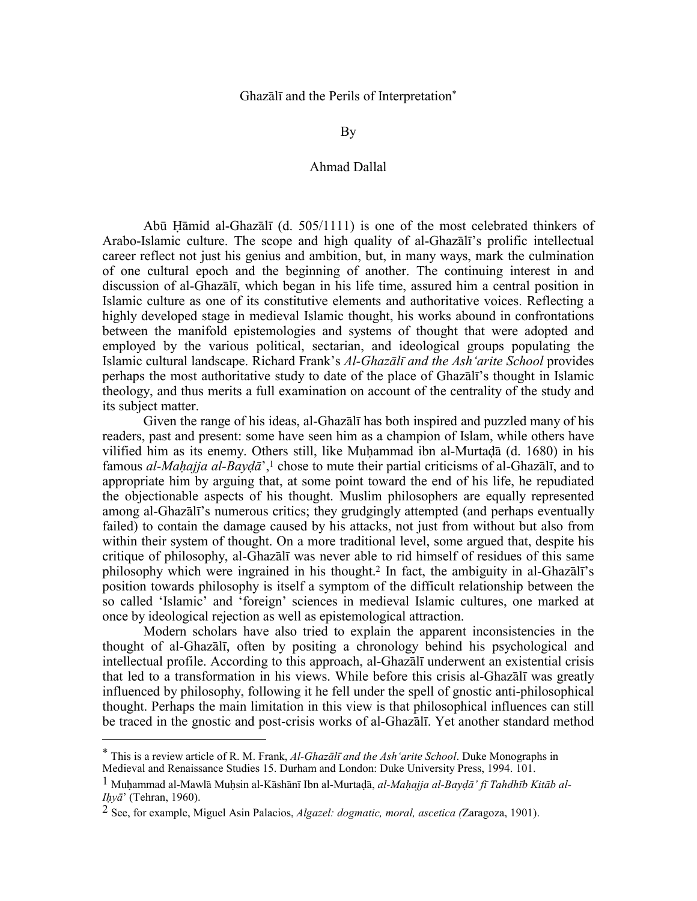# Ghazālī and the Perils of Interpretation\*

By

## Ahmad Dallal

 Abū Ḥāmid al-Ghazālī (d. 505/1111) is one of the most celebrated thinkers of Arabo-Islamic culture. The scope and high quality of al-Ghazālī's prolific intellectual career reflect not just his genius and ambition, but, in many ways, mark the culmination of one cultural epoch and the beginning of another. The continuing interest in and discussion of al-Ghazālī, which began in his life time, assured him a central position in Islamic culture as one of its constitutive elements and authoritative voices. Reflecting a highly developed stage in medieval Islamic thought, his works abound in confrontations between the manifold epistemologies and systems of thought that were adopted and employed by the various political, sectarian, and ideological groups populating the Islamic cultural landscape. Richard Frank's *Al-Ghazālī and the Ash'arite School* provides perhaps the most authoritative study to date of the place of Ghazālī's thought in Islamic theology, and thus merits a full examination on account of the centrality of the study and its subject matter.

Given the range of his ideas, al-Ghazālī has both inspired and puzzled many of his readers, past and present: some have seen him as a champion of Islam, while others have vilified him as its enemy. Others still, like Muḥammad ibn al-Murtaḍā (d. 1680) in his famous *al-Maḥajja al-Bayḍā*',1 chose to mute their partial criticisms of al-Ghazālī, and to appropriate him by arguing that, at some point toward the end of his life, he repudiated the objectionable aspects of his thought. Muslim philosophers are equally represented among al-Ghazālī's numerous critics; they grudgingly attempted (and perhaps eventually failed) to contain the damage caused by his attacks, not just from without but also from within their system of thought. On a more traditional level, some argued that, despite his critique of philosophy, al-Ghazālī was never able to rid himself of residues of this same philosophy which were ingrained in his thought.2 In fact, the ambiguity in al-Ghazālī's position towards philosophy is itself a symptom of the difficult relationship between the so called 'Islamic' and 'foreign' sciences in medieval Islamic cultures, one marked at once by ideological rejection as well as epistemological attraction.

 Modern scholars have also tried to explain the apparent inconsistencies in the thought of al-Ghazālī, often by positing a chronology behind his psychological and intellectual profile. According to this approach, al-Ghazālī underwent an existential crisis that led to a transformation in his views. While before this crisis al-Ghazālī was greatly influenced by philosophy, following it he fell under the spell of gnostic anti-philosophical thought. Perhaps the main limitation in this view is that philosophical influences can still be traced in the gnostic and post-crisis works of al-Ghazālī. Yet another standard method

<sup>\*</sup> This is a review article of R. M. Frank, *Al-Ghazālī and the Ash'arite School*. Duke Monographs in Medieval and Renaissance Studies 15. Durham and London: Duke University Press, 1994. 101.

<sup>1</sup> Muḥammad al-Mawlā Muḥsin al-Kāshānī Ibn al-Murtaḍā, *al-Maḥajja al-Bayḍā' fī Tahdhīb Kitāb al-Iḥyā*' (Tehran, 1960).

<sup>2</sup> See, for example, Miguel Asin Palacios, *Algazel: dogmatic, moral, ascetica (*Zaragoza, 1901).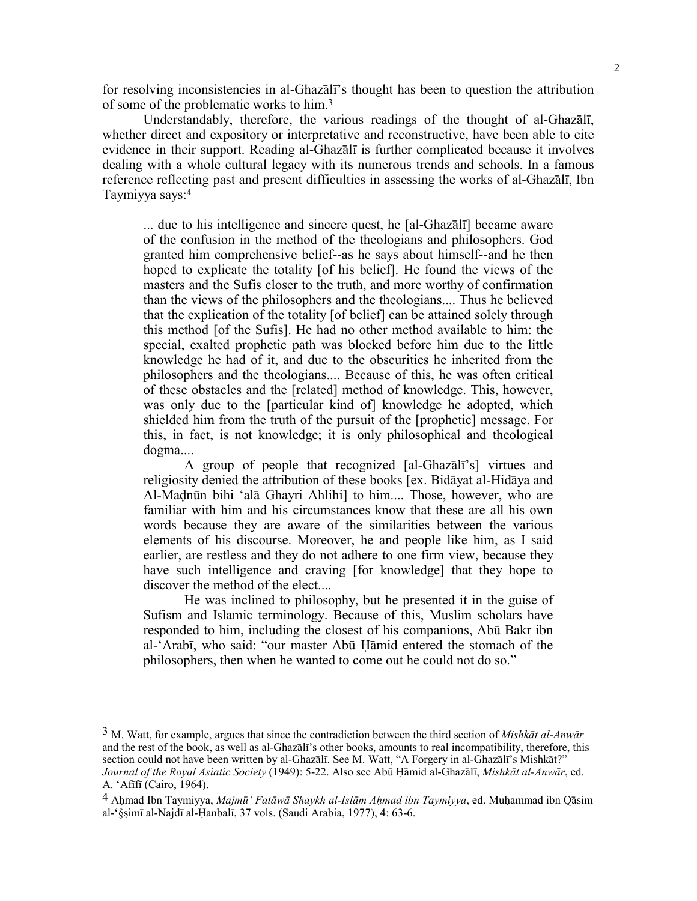for resolving inconsistencies in al-Ghazālī's thought has been to question the attribution of some of the problematic works to him.3

 Understandably, therefore, the various readings of the thought of al-Ghazālī, whether direct and expository or interpretative and reconstructive, have been able to cite evidence in their support. Reading al-Ghazālī is further complicated because it involves dealing with a whole cultural legacy with its numerous trends and schools. In a famous reference reflecting past and present difficulties in assessing the works of al-Ghazālī, Ibn Taymiyya says:4

... due to his intelligence and sincere quest, he [al-Ghazālī] became aware of the confusion in the method of the theologians and philosophers. God granted him comprehensive belief--as he says about himself--and he then hoped to explicate the totality [of his belief]. He found the views of the masters and the Sufis closer to the truth, and more worthy of confirmation than the views of the philosophers and the theologians.... Thus he believed that the explication of the totality [of belief] can be attained solely through this method [of the Sufis]. He had no other method available to him: the special, exalted prophetic path was blocked before him due to the little knowledge he had of it, and due to the obscurities he inherited from the philosophers and the theologians.... Because of this, he was often critical of these obstacles and the [related] method of knowledge. This, however, was only due to the [particular kind of] knowledge he adopted, which shielded him from the truth of the pursuit of the [prophetic] message. For this, in fact, is not knowledge; it is only philosophical and theological dogma....

 A group of people that recognized [al-Ghazālī's] virtues and religiosity denied the attribution of these books [ex. Bidāyat al-Hidāya and Al-Maḍnūn bihi 'alā Ghayri Ahlihi] to him.... Those, however, who are familiar with him and his circumstances know that these are all his own words because they are aware of the similarities between the various elements of his discourse. Moreover, he and people like him, as I said earlier, are restless and they do not adhere to one firm view, because they have such intelligence and craving [for knowledge] that they hope to discover the method of the elect....

 He was inclined to philosophy, but he presented it in the guise of Sufism and Islamic terminology. Because of this, Muslim scholars have responded to him, including the closest of his companions, Abū Bakr ibn al-'Arabī, who said: "our master Abū Ḥāmid entered the stomach of the philosophers, then when he wanted to come out he could not do so."

<sup>3</sup> M. Watt, for example, argues that since the contradiction between the third section of *Mishkāt al-Anwār* and the rest of the book, as well as al-Ghazālī's other books, amounts to real incompatibility, therefore, this section could not have been written by al-Ghazālī. See M. Watt, "A Forgery in al-Ghazālī's Mishkāt?" *Journal of the Royal Asiatic Society* (1949): 5-22. Also see Abū Ḥāmid al-Ghazālī, *Mishkāt al-Anwār*, ed. A. 'Afīfī (Cairo, 1964).

<sup>4</sup> Aḥmad Ibn Taymiyya, *Majmū' Fatāwā Shaykh al-Islām Aḥmad ibn Taymiyya*, ed. Muḥammad ibn Qāsim al-'§ṣimī al-Najdī al-Ḥanbalī, 37 vols. (Saudi Arabia, 1977), 4: 63-6.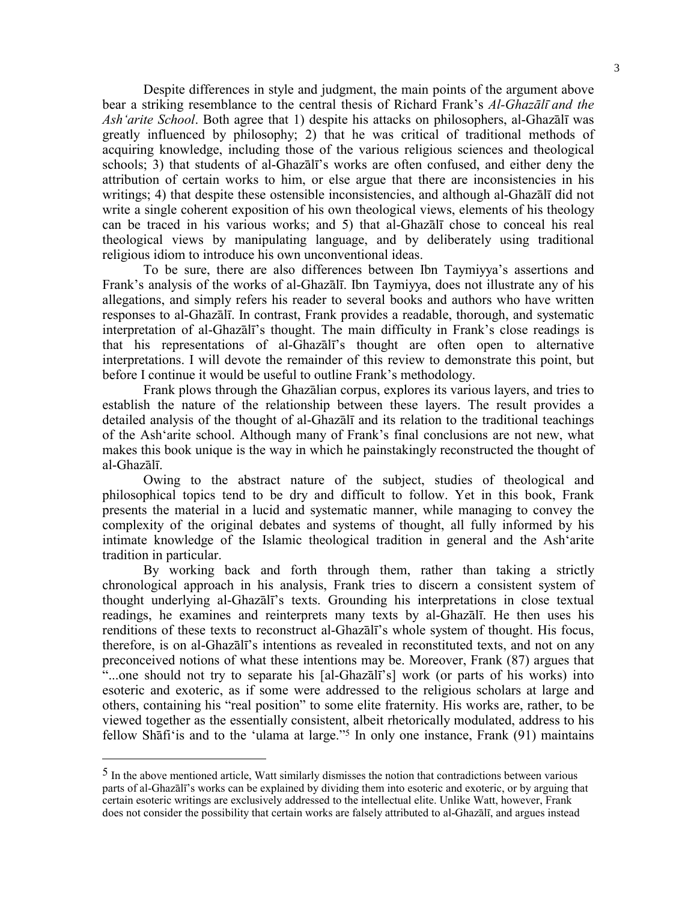Despite differences in style and judgment, the main points of the argument above bear a striking resemblance to the central thesis of Richard Frank's *Al-Ghazālī and the Ash'arite School*. Both agree that 1) despite his attacks on philosophers, al-Ghazālī was greatly influenced by philosophy; 2) that he was critical of traditional methods of acquiring knowledge, including those of the various religious sciences and theological schools; 3) that students of al-Ghazālī's works are often confused, and either deny the attribution of certain works to him, or else argue that there are inconsistencies in his writings; 4) that despite these ostensible inconsistencies, and although al-Ghazālī did not write a single coherent exposition of his own theological views, elements of his theology can be traced in his various works; and 5) that al-Ghazālī chose to conceal his real theological views by manipulating language, and by deliberately using traditional religious idiom to introduce his own unconventional ideas.

 To be sure, there are also differences between Ibn Taymiyya's assertions and Frank's analysis of the works of al-Ghazālī. Ibn Taymiyya, does not illustrate any of his allegations, and simply refers his reader to several books and authors who have written responses to al-Ghazālī. In contrast, Frank provides a readable, thorough, and systematic interpretation of al-Ghazālī's thought. The main difficulty in Frank's close readings is that his representations of al-Ghazālī's thought are often open to alternative interpretations. I will devote the remainder of this review to demonstrate this point, but before I continue it would be useful to outline Frank's methodology.

 Frank plows through the Ghazālian corpus, explores its various layers, and tries to establish the nature of the relationship between these layers. The result provides a detailed analysis of the thought of al-Ghazālī and its relation to the traditional teachings of the Ash'arite school. Although many of Frank's final conclusions are not new, what makes this book unique is the way in which he painstakingly reconstructed the thought of al-Ghazālī.

 Owing to the abstract nature of the subject, studies of theological and philosophical topics tend to be dry and difficult to follow. Yet in this book, Frank presents the material in a lucid and systematic manner, while managing to convey the complexity of the original debates and systems of thought, all fully informed by his intimate knowledge of the Islamic theological tradition in general and the Ash'arite tradition in particular.

 By working back and forth through them, rather than taking a strictly chronological approach in his analysis, Frank tries to discern a consistent system of thought underlying al-Ghazālī's texts. Grounding his interpretations in close textual readings, he examines and reinterprets many texts by al-Ghazālī. He then uses his renditions of these texts to reconstruct al-Ghazālī's whole system of thought. His focus, therefore, is on al-Ghazālī's intentions as revealed in reconstituted texts, and not on any preconceived notions of what these intentions may be. Moreover, Frank (87) argues that "...one should not try to separate his [al-Ghazālī's] work (or parts of his works) into esoteric and exoteric, as if some were addressed to the religious scholars at large and others, containing his "real position" to some elite fraternity. His works are, rather, to be viewed together as the essentially consistent, albeit rhetorically modulated, address to his fellow Shāfi'is and to the 'ulama at large."5 In only one instance, Frank (91) maintains

 $<sup>5</sup>$  In the above mentioned article, Watt similarly dismisses the notion that contradictions between various</sup> parts of al-Ghazālī's works can be explained by dividing them into esoteric and exoteric, or by arguing that certain esoteric writings are exclusively addressed to the intellectual elite. Unlike Watt, however, Frank does not consider the possibility that certain works are falsely attributed to al-Ghazālī, and argues instead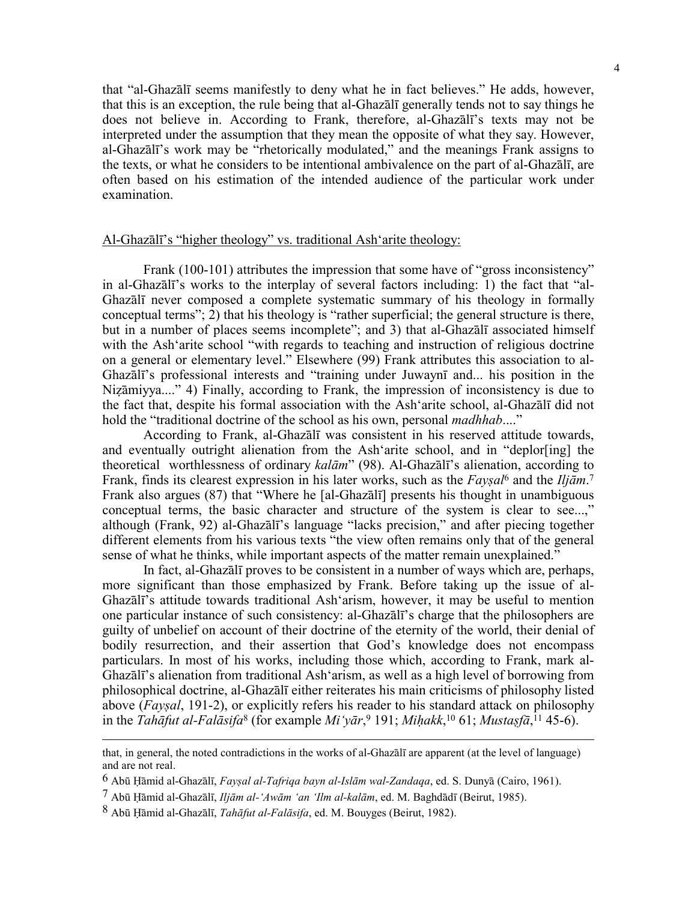that "al-Ghazālī seems manifestly to deny what he in fact believes." He adds, however, that this is an exception, the rule being that al-Ghazālī generally tends not to say things he does not believe in. According to Frank, therefore, al-Ghazālī's texts may not be interpreted under the assumption that they mean the opposite of what they say. However, al-Ghazālī's work may be "rhetorically modulated," and the meanings Frank assigns to the texts, or what he considers to be intentional ambivalence on the part of al-Ghazālī, are often based on his estimation of the intended audience of the particular work under examination.

## Al-Ghazālī's "higher theology" vs. traditional Ash'arite theology:

Frank (100-101) attributes the impression that some have of "gross inconsistency" in al-Ghazālī's works to the interplay of several factors including: 1) the fact that "al-Ghazālī never composed a complete systematic summary of his theology in formally conceptual terms"; 2) that his theology is "rather superficial; the general structure is there, but in a number of places seems incomplete"; and 3) that al-Ghazālī associated himself with the Ash'arite school "with regards to teaching and instruction of religious doctrine on a general or elementary level." Elsewhere (99) Frank attributes this association to al-Ghazālī's professional interests and "training under Juwaynī and... his position in the Niẓāmiyya...." 4) Finally, according to Frank, the impression of inconsistency is due to the fact that, despite his formal association with the Ash'arite school, al-Ghazālī did not hold the "traditional doctrine of the school as his own, personal *madhhab*...."

 According to Frank, al-Ghazālī was consistent in his reserved attitude towards, and eventually outright alienation from the Ash'arite school, and in "deplor[ing] the theoretical worthlessness of ordinary *kalām*" (98). Al-Ghazālī's alienation, according to Frank, finds its clearest expression in his later works, such as the *Fayṣal*6 and the *Iljām*.7 Frank also argues (87) that "Where he [al-Ghazālī] presents his thought in unambiguous conceptual terms, the basic character and structure of the system is clear to see...," although (Frank, 92) al-Ghazālī's language "lacks precision," and after piecing together different elements from his various texts "the view often remains only that of the general sense of what he thinks, while important aspects of the matter remain unexplained."

 In fact, al-Ghazālī proves to be consistent in a number of ways which are, perhaps, more significant than those emphasized by Frank. Before taking up the issue of al-Ghazālī's attitude towards traditional Ash'arism, however, it may be useful to mention one particular instance of such consistency: al-Ghazālī's charge that the philosophers are guilty of unbelief on account of their doctrine of the eternity of the world, their denial of bodily resurrection, and their assertion that God's knowledge does not encompass particulars. In most of his works, including those which, according to Frank, mark al-Ghazālī's alienation from traditional Ash'arism, as well as a high level of borrowing from philosophical doctrine, al-Ghazālī either reiterates his main criticisms of philosophy listed above (*Fayṣal*, 191-2), or explicitly refers his reader to his standard attack on philosophy in the *Tahāfut al-Falāsifa*<sup>8</sup> (for example *Mi'yār*,<sup>9</sup> 191; *Mihakk*,<sup>10</sup> 61; *Mustasfā*,<sup>11</sup> 45-6).

that, in general, the noted contradictions in the works of al-Ghazālī are apparent (at the level of language) and are not real.

<sup>6</sup> Abū Ḥāmid al-Ghazālī, *Fayṣal al-Tafriqa bayn al-Islām wal-Zandaqa*, ed. S. Dunyā (Cairo, 1961).

<sup>7</sup> Abū Ḥāmid al-Ghazālī, *Iljām al-'Awām 'an 'Ilm al-kalām*, ed. M. Baghdādī (Beirut, 1985).

<sup>8</sup> Abū Ḥāmid al-Ghazālī, *Tahāfut al-Falāsifa*, ed. M. Bouyges (Beirut, 1982).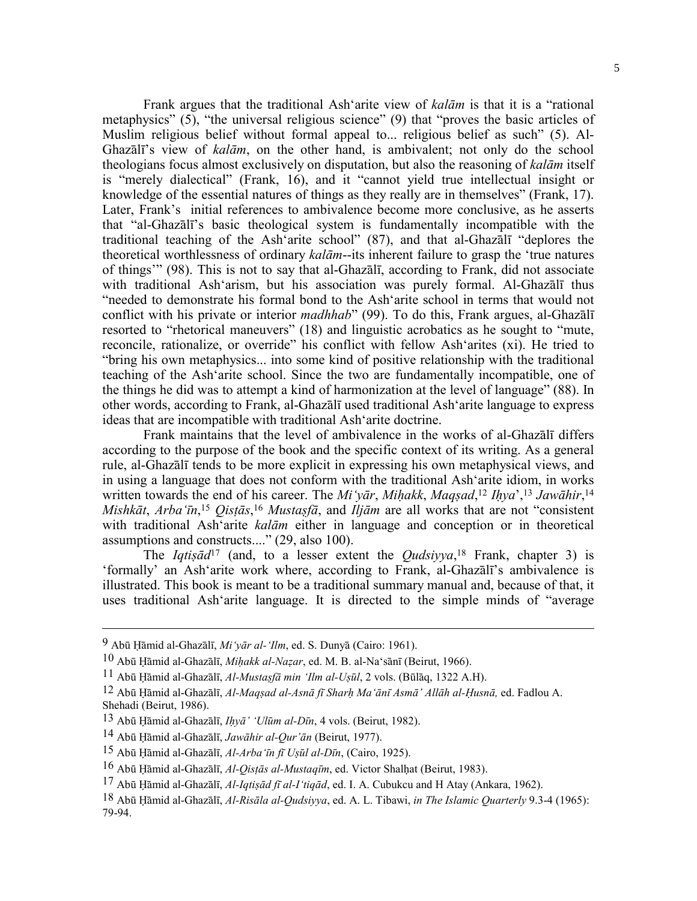Frank argues that the traditional Ash'arite view of *kalām* is that it is a "rational metaphysics" (5), "the universal religious science" (9) that "proves the basic articles of Muslim religious belief without formal appeal to... religious belief as such" (5). Al-Ghazālī's view of *kalām*, on the other hand, is ambivalent; not only do the school theologians focus almost exclusively on disputation, but also the reasoning of *kalām* itself is "merely dialectical" (Frank, 16), and it "cannot yield true intellectual insight or knowledge of the essential natures of things as they really are in themselves" (Frank, 17). Later, Frank's initial references to ambivalence become more conclusive, as he asserts that "al-Ghazālī's basic theological system is fundamentally incompatible with the traditional teaching of the Ash'arite school" (87), and that al-Ghazālī "deplores the theoretical worthlessness of ordinary *kalām*--its inherent failure to grasp the 'true natures of things'" (98). This is not to say that al-Ghazālī, according to Frank, did not associate with traditional Ash'arism, but his association was purely formal. Al-Ghazālī thus "needed to demonstrate his formal bond to the Ash'arite school in terms that would not conflict with his private or interior *madhhab*" (99). To do this, Frank argues, al-Ghazālī resorted to "rhetorical maneuvers" (18) and linguistic acrobatics as he sought to "mute, reconcile, rationalize, or override" his conflict with fellow Ash'arites (xi). He tried to "bring his own metaphysics... into some kind of positive relationship with the traditional teaching of the Ash'arite school. Since the two are fundamentally incompatible, one of the things he did was to attempt a kind of harmonization at the level of language" (88). In other words, according to Frank, al-Ghazālī used traditional Ash'arite language to express ideas that are incompatible with traditional Ash'arite doctrine.

 Frank maintains that the level of ambivalence in the works of al-Ghazālī differs according to the purpose of the book and the specific context of its writing. As a general rule, al-Ghazālī tends to be more explicit in expressing his own metaphysical views, and in using a language that does not conform with the traditional Ash'arite idiom, in works written towards the end of his career. The *Mi'yār*, *Miḥakk*, *Maqṣad*, <sup>12</sup> *Iḥya*',13 *Jawāhir*,14 *Mishkāt*, *Arba'īn*, <sup>15</sup> *Qisṭās*,16 *Mustaṣfā*, and *Iljām* are all works that are not "consistent with traditional Ash'arite *kalām* either in language and conception or in theoretical assumptions and constructs...." (29, also 100).

The *Iqtis* $\bar{a}d^{17}$  (and, to a lesser extent the *Qudsiyya*<sup>18</sup> Frank, chapter 3) is 'formally' an Ash'arite work where, according to Frank, al-Ghazālī's ambivalence is illustrated. This book is meant to be a traditional summary manual and, because of that, it uses traditional Ash'arite language. It is directed to the simple minds of "average

<sup>9</sup> Abū Ḥāmid al-Ghazālī, *Mi'yār al-'Ilm*, ed. S. Dunyā (Cairo: 1961).

<sup>10</sup> Abū Ḥāmid al-Ghazālī, *Miḥakk al-Naẓar*, ed. M. B. al-Na'sānī (Beirut, 1966).

<sup>11</sup> Abū Ḥāmid al-Ghazālī, *Al-Mustaṣfā min 'Ilm al-Uṣūl*, 2 vols. (Būlāq, 1322 A.H).

<sup>12</sup> Abū Hāmid al-Ghazālī, Al-Maqsad al-Asnā fī Sharh Ma'ānī Asmā' Allāh al-Husnā, ed. Fadlou A. Shehadi (Beirut, 1986).

<sup>13</sup> Abū Ḥāmid al-Ghazālī, *Iḥyā' 'Ulūm al-Dīn*, 4 vols. (Beirut, 1982).

<sup>14</sup> Abū Ḥāmid al-Ghazālī, *Jawāhir al-Qur'ān* (Beirut, 1977).

<sup>15</sup> Abū Ḥāmid al-Ghazālī, *Al-Arba'īn fī Uṣūl al-Dīn*, (Cairo, 1925).

<sup>16</sup> Abū Ḥāmid al-Ghazālī, *Al-Qisṭās al-Mustaqīm*, ed. Victor Shalḥat (Beirut, 1983).

<sup>17</sup> Abū Ḥāmid al-Ghazālī, *Al-Iqtiṣād fī al-I'tiqād*, ed. I. A. Cubukcu and H Atay (Ankara, 1962).

<sup>18</sup> Abū Ḥāmid al-Ghazālī, *Al-Risāla al-Qudsiyya*, ed. A. L. Tibawi, *in The Islamic Quarterly* 9.3-4 (1965): 79-94.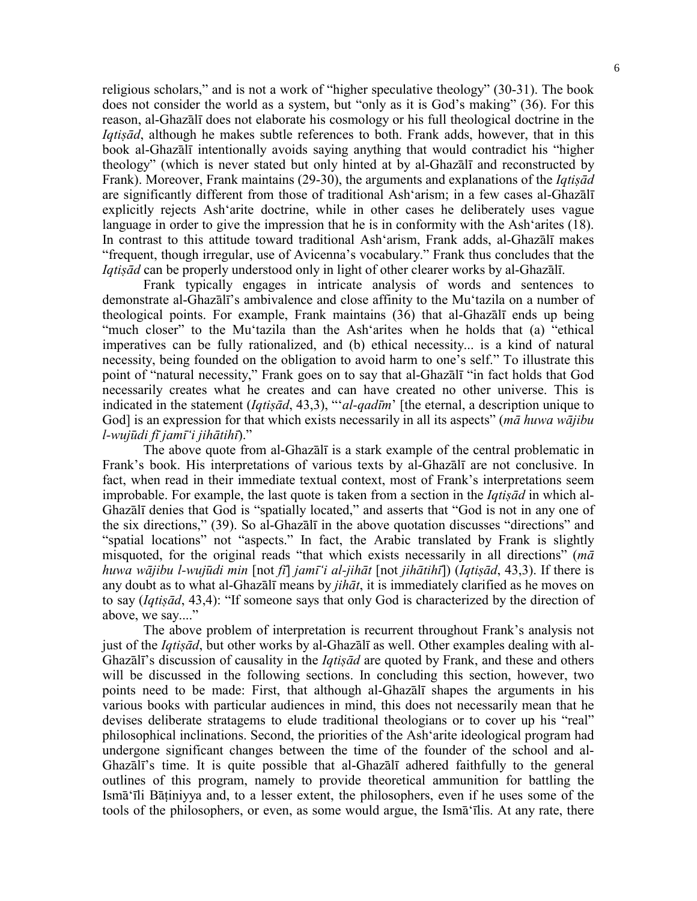religious scholars," and is not a work of "higher speculative theology" (30-31). The book does not consider the world as a system, but "only as it is God's making" (36). For this reason, al-Ghazālī does not elaborate his cosmology or his full theological doctrine in the *Iqtis* $\bar{a}$ *d*, although he makes subtle references to both. Frank adds, however, that in this book al-Ghazālī intentionally avoids saying anything that would contradict his "higher theology" (which is never stated but only hinted at by al-Ghazālī and reconstructed by Frank). Moreover, Frank maintains (29-30), the arguments and explanations of the *Iqtiṣād* are significantly different from those of traditional Ash'arism; in a few cases al-Ghazālī explicitly rejects Ash'arite doctrine, while in other cases he deliberately uses vague language in order to give the impression that he is in conformity with the Ash'arites (18). In contrast to this attitude toward traditional Ash'arism, Frank adds, al-Ghazālī makes "frequent, though irregular, use of Avicenna's vocabulary." Frank thus concludes that the *Iqtiṣād* can be properly understood only in light of other clearer works by al-Ghazālī.

 Frank typically engages in intricate analysis of words and sentences to demonstrate al-Ghazālī's ambivalence and close affinity to the Mu'tazila on a number of theological points. For example, Frank maintains (36) that al-Ghazālī ends up being "much closer" to the Mu'tazila than the Ash'arites when he holds that (a) "ethical imperatives can be fully rationalized, and (b) ethical necessity... is a kind of natural necessity, being founded on the obligation to avoid harm to one's self." To illustrate this point of "natural necessity," Frank goes on to say that al-Ghazālī "in fact holds that God necessarily creates what he creates and can have created no other universe. This is indicated in the statement (*Iqtiṣād*, 43,3), "'*al-qadīm*' [the eternal, a description unique to God] is an expression for that which exists necessarily in all its aspects" (*mā huwa wājibu l-wujūdi fī jamī'i jihātihī*)."

 The above quote from al-Ghazālī is a stark example of the central problematic in Frank's book. His interpretations of various texts by al-Ghazālī are not conclusive. In fact, when read in their immediate textual context, most of Frank's interpretations seem improbable. For example, the last quote is taken from a section in the *Iqtiṣād* in which al-Ghazālī denies that God is "spatially located," and asserts that "God is not in any one of the six directions," (39). So al-Ghazālī in the above quotation discusses "directions" and "spatial locations" not "aspects." In fact, the Arabic translated by Frank is slightly misquoted, for the original reads "that which exists necessarily in all directions" (*mā* huwa wājibu l-wujūdi min [not fī] jamī'i al-jihāt [not jihātihī]) (Iqtisād, 43,3). If there is any doubt as to what al-Ghazālī means by *jihāt*, it is immediately clarified as he moves on to say (*Iqtiṣād*, 43,4): "If someone says that only God is characterized by the direction of above, we say...."

 The above problem of interpretation is recurrent throughout Frank's analysis not just of the *Iqtiṣād*, but other works by al-Ghazālī as well. Other examples dealing with al-Ghazālī's discussion of causality in the *Iqtiṣād* are quoted by Frank, and these and others will be discussed in the following sections. In concluding this section, however, two points need to be made: First, that although al-Ghazālī shapes the arguments in his various books with particular audiences in mind, this does not necessarily mean that he devises deliberate stratagems to elude traditional theologians or to cover up his "real" philosophical inclinations. Second, the priorities of the Ash'arite ideological program had undergone significant changes between the time of the founder of the school and al-Ghazālī's time. It is quite possible that al-Ghazālī adhered faithfully to the general outlines of this program, namely to provide theoretical ammunition for battling the Ismā'īli Bāṭiniyya and, to a lesser extent, the philosophers, even if he uses some of the tools of the philosophers, or even, as some would argue, the Ismā'īlis. At any rate, there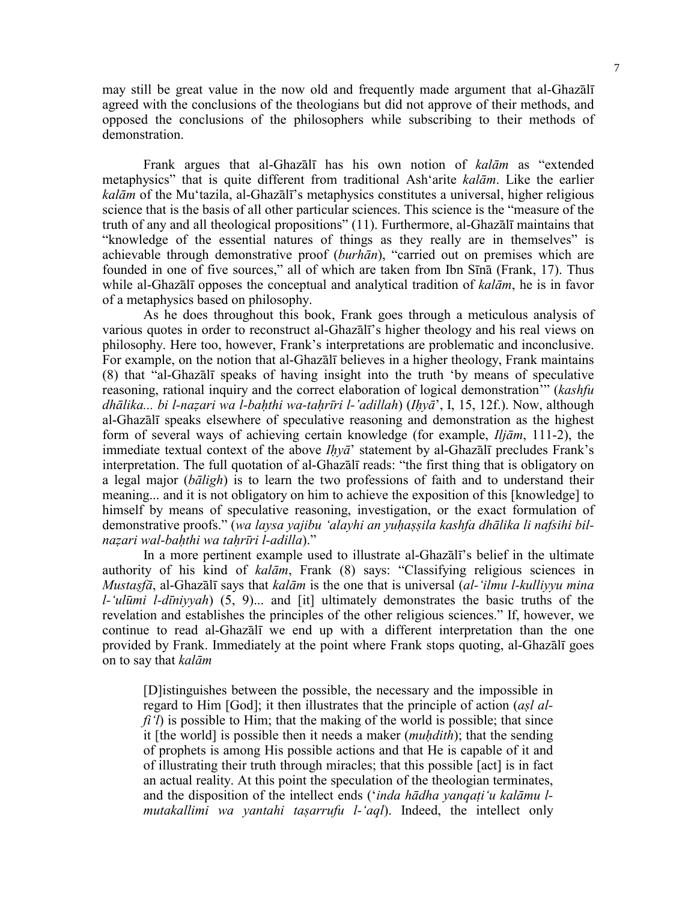may still be great value in the now old and frequently made argument that al-Ghazālī agreed with the conclusions of the theologians but did not approve of their methods, and opposed the conclusions of the philosophers while subscribing to their methods of demonstration.

 Frank argues that al-Ghazālī has his own notion of *kalām* as "extended metaphysics" that is quite different from traditional Ash'arite *kalām*. Like the earlier *kalām* of the Mu'tazila, al-Ghazālī's metaphysics constitutes a universal, higher religious science that is the basis of all other particular sciences. This science is the "measure of the truth of any and all theological propositions" (11). Furthermore, al-Ghazālī maintains that "knowledge of the essential natures of things as they really are in themselves" is achievable through demonstrative proof (*burhān*), "carried out on premises which are founded in one of five sources," all of which are taken from Ibn Sīnā (Frank, 17). Thus while al-Ghazālī opposes the conceptual and analytical tradition of *kalām*, he is in favor of a metaphysics based on philosophy.

 As he does throughout this book, Frank goes through a meticulous analysis of various quotes in order to reconstruct al-Ghazālī's higher theology and his real views on philosophy. Here too, however, Frank's interpretations are problematic and inconclusive. For example, on the notion that al-Ghazālī believes in a higher theology, Frank maintains (8) that "al-Ghazālī speaks of having insight into the truth 'by means of speculative reasoning, rational inquiry and the correct elaboration of logical demonstration'" (*kashfu dhālika... bi l-naẓari wa l-baḥthi wa-taḥrīri l-'adillah*) (*Iḥyā*', I, 15, 12f.). Now, although al-Ghazālī speaks elsewhere of speculative reasoning and demonstration as the highest form of several ways of achieving certain knowledge (for example, *Iljām*, 111-2), the immediate textual context of the above *Iḥyā*' statement by al-Ghazālī precludes Frank's interpretation. The full quotation of al-Ghazālī reads: "the first thing that is obligatory on a legal major (*bāligh*) is to learn the two professions of faith and to understand their meaning... and it is not obligatory on him to achieve the exposition of this [knowledge] to himself by means of speculative reasoning, investigation, or the exact formulation of demonstrative proofs." (*wa laysa yajibu 'alayhi an yuḥaṣṣila kashfa dhālika li nafsihi bilnaẓari wal-baḥthi wa taḥrīri l-adilla*)."

 In a more pertinent example used to illustrate al-Ghazālī's belief in the ultimate authority of his kind of *kalām*, Frank (8) says: "Classifying religious sciences in *Mustaṣfā*, al-Ghazālī says that *kalām* is the one that is universal (*al-'ilmu l-kulliyyu mina l-'ulūmi l-dīniyyah*) (5, 9)... and [it] ultimately demonstrates the basic truths of the revelation and establishes the principles of the other religious sciences." If, however, we continue to read al-Ghazālī we end up with a different interpretation than the one provided by Frank. Immediately at the point where Frank stops quoting, al-Ghazālī goes on to say that *kalām*

[D]istinguishes between the possible, the necessary and the impossible in regard to Him [God]; it then illustrates that the principle of action (*aṣl alfi'l*) is possible to Him; that the making of the world is possible; that since it [the world] is possible then it needs a maker (*muḥdith*); that the sending of prophets is among His possible actions and that He is capable of it and of illustrating their truth through miracles; that this possible [act] is in fact an actual reality. At this point the speculation of the theologian terminates, and the disposition of the intellect ends ('*inda hādha yanqaṭi'u kalāmu lmutakallimi wa yantahi taṣarrufu l-'aql*). Indeed, the intellect only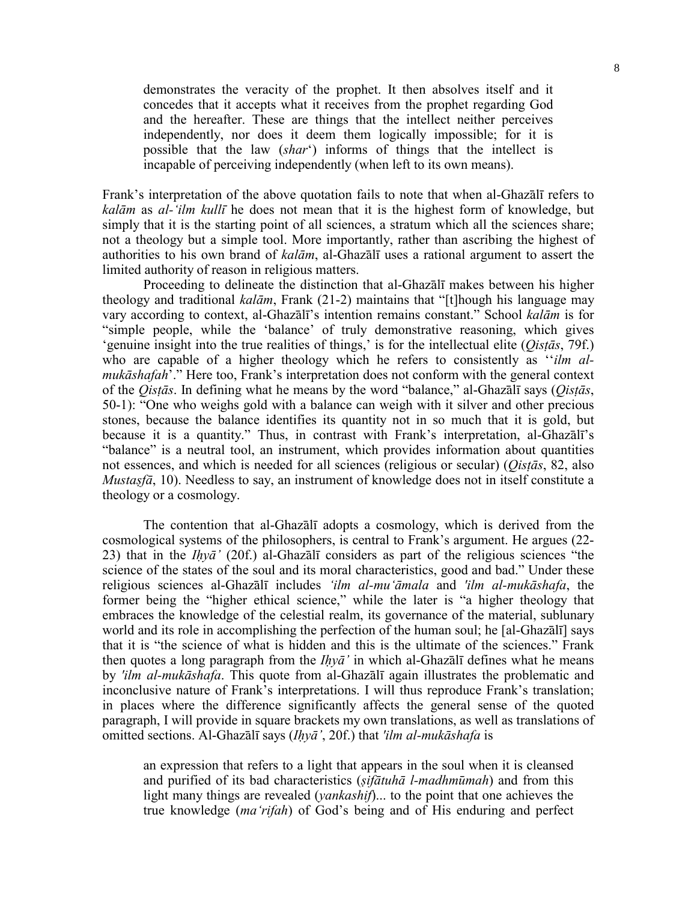demonstrates the veracity of the prophet. It then absolves itself and it concedes that it accepts what it receives from the prophet regarding God and the hereafter. These are things that the intellect neither perceives independently, nor does it deem them logically impossible; for it is possible that the law (*shar*') informs of things that the intellect is incapable of perceiving independently (when left to its own means).

Frank's interpretation of the above quotation fails to note that when al-Ghazālī refers to *kalām* as *al-'ilm kullī* he does not mean that it is the highest form of knowledge, but simply that it is the starting point of all sciences, a stratum which all the sciences share; not a theology but a simple tool. More importantly, rather than ascribing the highest of authorities to his own brand of *kalām*, al-Ghazālī uses a rational argument to assert the limited authority of reason in religious matters.

 Proceeding to delineate the distinction that al-Ghazālī makes between his higher theology and traditional *kalām*, Frank (21-2) maintains that "[t]hough his language may vary according to context, al-Ghazālī's intention remains constant." School *kalām* is for "simple people, while the 'balance' of truly demonstrative reasoning, which gives 'genuine insight into the true realities of things,' is for the intellectual elite (*Qisṭās*, 79f.) who are capable of a higher theology which he refers to consistently as ''*ilm almukāshafah*'." Here too, Frank's interpretation does not conform with the general context of the *Qisṭās*. In defining what he means by the word "balance," al-Ghazālī says (*Qisṭās*, 50-1): "One who weighs gold with a balance can weigh with it silver and other precious stones, because the balance identifies its quantity not in so much that it is gold, but because it is a quantity." Thus, in contrast with Frank's interpretation, al-Ghazālī's "balance" is a neutral tool, an instrument, which provides information about quantities not essences, and which is needed for all sciences (religious or secular) (*Qisṭās*, 82, also *Mustaṣfā*, 10). Needless to say, an instrument of knowledge does not in itself constitute a theology or a cosmology.

 The contention that al-Ghazālī adopts a cosmology, which is derived from the cosmological systems of the philosophers, is central to Frank's argument. He argues (22- 23) that in the *Iḥyā'* (20f.) al-Ghazālī considers as part of the religious sciences "the science of the states of the soul and its moral characteristics, good and bad." Under these religious sciences al-Ghazālī includes *'ilm al-mu'āmala* and *'ilm al-mukāshafa*, the former being the "higher ethical science," while the later is "a higher theology that embraces the knowledge of the celestial realm, its governance of the material, sublunary world and its role in accomplishing the perfection of the human soul; he [al-Ghazālī] says that it is "the science of what is hidden and this is the ultimate of the sciences." Frank then quotes a long paragraph from the *Iḥyā'* in which al-Ghazālī defines what he means by *'ilm al-mukāshafa*. This quote from al-Ghazālī again illustrates the problematic and inconclusive nature of Frank's interpretations. I will thus reproduce Frank's translation; in places where the difference significantly affects the general sense of the quoted paragraph, I will provide in square brackets my own translations, as well as translations of omitted sections. Al-Ghazālī says (*Iḥyā'*, 20f.) that *'ilm al-mukāshafa* is

an expression that refers to a light that appears in the soul when it is cleansed and purified of its bad characteristics (*ṣifātuhā l-madhmūmah*) and from this light many things are revealed (*yankashif*)... to the point that one achieves the true knowledge (*ma'rifah*) of God's being and of His enduring and perfect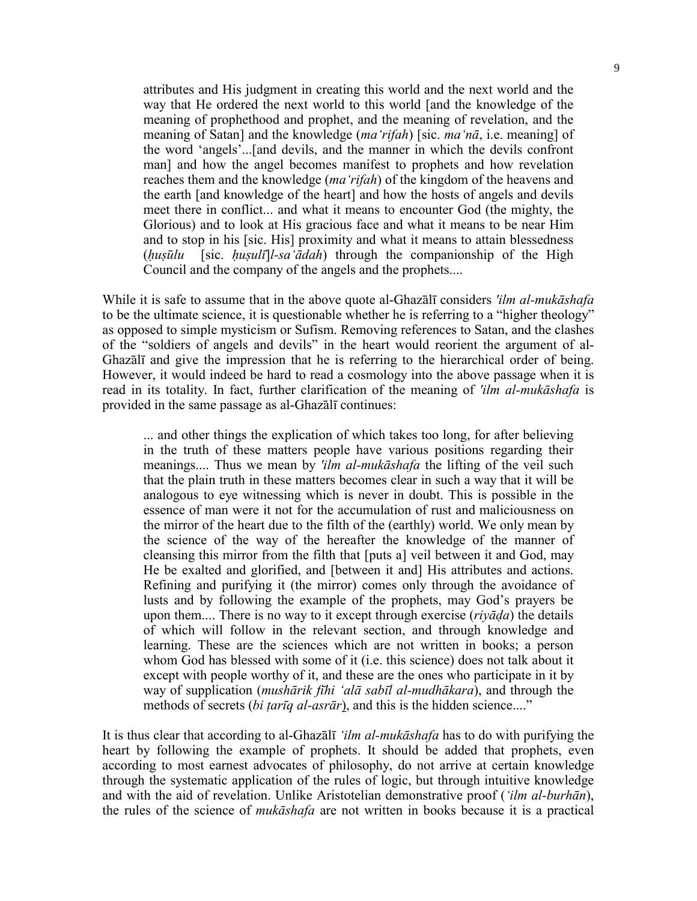attributes and His judgment in creating this world and the next world and the way that He ordered the next world to this world [and the knowledge of the meaning of prophethood and prophet, and the meaning of revelation, and the meaning of Satan] and the knowledge (*ma'rifah*) [sic. *ma'nā*, i.e. meaning] of the word 'angels'...[and devils, and the manner in which the devils confront man] and how the angel becomes manifest to prophets and how revelation reaches them and the knowledge (*ma'rifah*) of the kingdom of the heavens and the earth [and knowledge of the heart] and how the hosts of angels and devils meet there in conflict... and what it means to encounter God (the mighty, the Glorious) and to look at His gracious face and what it means to be near Him and to stop in his [sic. His] proximity and what it means to attain blessedness (*ḥuṣūlu* [sic. *ḥuṣulī*]*l-sa'ādah*) through the companionship of the High Council and the company of the angels and the prophets....

While it is safe to assume that in the above quote al-Ghazālī considers *'ilm al-mukāshafa* to be the ultimate science, it is questionable whether he is referring to a "higher theology" as opposed to simple mysticism or Sufism. Removing references to Satan, and the clashes of the "soldiers of angels and devils" in the heart would reorient the argument of al-Ghazālī and give the impression that he is referring to the hierarchical order of being. However, it would indeed be hard to read a cosmology into the above passage when it is read in its totality. In fact, further clarification of the meaning of *'ilm al-mukāshafa* is provided in the same passage as al-Ghazālī continues:

... and other things the explication of which takes too long, for after believing in the truth of these matters people have various positions regarding their meanings.... Thus we mean by *'ilm al-mukāshafa* the lifting of the veil such that the plain truth in these matters becomes clear in such a way that it will be analogous to eye witnessing which is never in doubt. This is possible in the essence of man were it not for the accumulation of rust and maliciousness on the mirror of the heart due to the filth of the (earthly) world. We only mean by the science of the way of the hereafter the knowledge of the manner of cleansing this mirror from the filth that [puts a] veil between it and God, may He be exalted and glorified, and [between it and] His attributes and actions. Refining and purifying it (the mirror) comes only through the avoidance of lusts and by following the example of the prophets, may God's prayers be upon them.... There is no way to it except through exercise (*riyāḍa*) the details of which will follow in the relevant section, and through knowledge and learning. These are the sciences which are not written in books; a person whom God has blessed with some of it (i.e. this science) does not talk about it except with people worthy of it, and these are the ones who participate in it by way of supplication (*mushārik fīhi 'alā sabīl al-mudhākara*), and through the methods of secrets (*bi ṭarīq al-asrār*), and this is the hidden science...."

It is thus clear that according to al-Ghazālī *'ilm al-mukāshafa* has to do with purifying the heart by following the example of prophets. It should be added that prophets, even according to most earnest advocates of philosophy, do not arrive at certain knowledge through the systematic application of the rules of logic, but through intuitive knowledge and with the aid of revelation. Unlike Aristotelian demonstrative proof (*'ilm al-burhān*), the rules of the science of *mukāshafa* are not written in books because it is a practical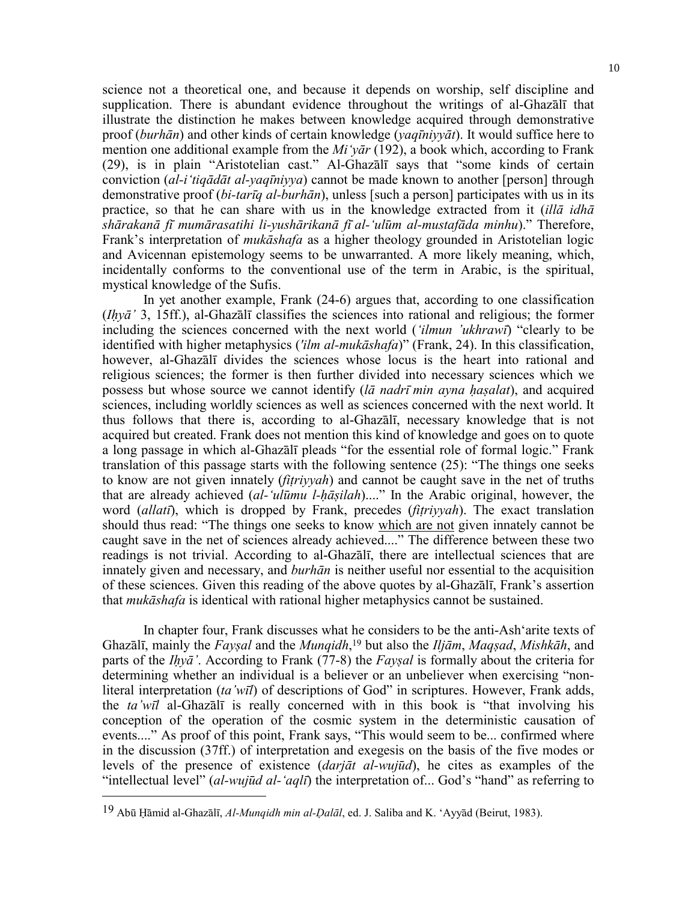science not a theoretical one, and because it depends on worship, self discipline and supplication. There is abundant evidence throughout the writings of al-Ghazālī that illustrate the distinction he makes between knowledge acquired through demonstrative proof (*burhān*) and other kinds of certain knowledge (*yaqīniyyāt*). It would suffice here to mention one additional example from the *Mi'yār* (192), a book which, according to Frank (29), is in plain "Aristotelian cast." Al-Ghazālī says that "some kinds of certain conviction (*al-i'tiqādāt al-yaqīniyya*) cannot be made known to another [person] through demonstrative proof (*bi-tarīq al-burhān*), unless [such a person] participates with us in its practice, so that he can share with us in the knowledge extracted from it (*illā idhā shārakanā fī mumārasatihi li-yushārikanā fī al-'ulūm al-mustafāda minhu*)." Therefore, Frank's interpretation of *mukāshafa* as a higher theology grounded in Aristotelian logic and Avicennan epistemology seems to be unwarranted. A more likely meaning, which, incidentally conforms to the conventional use of the term in Arabic, is the spiritual, mystical knowledge of the Sufis.

 In yet another example, Frank (24-6) argues that, according to one classification (*Iḥyā'* 3, 15ff.), al-Ghazālī classifies the sciences into rational and religious; the former including the sciences concerned with the next world (*'ilmun 'ukhrawī*) "clearly to be identified with higher metaphysics (*'ilm al-mukāshafa*)" (Frank, 24). In this classification, however, al-Ghazālī divides the sciences whose locus is the heart into rational and religious sciences; the former is then further divided into necessary sciences which we possess but whose source we cannot identify (*lā nadrī min ayna ḥaṣalat*), and acquired sciences, including worldly sciences as well as sciences concerned with the next world. It thus follows that there is, according to al-Ghazālī, necessary knowledge that is not acquired but created. Frank does not mention this kind of knowledge and goes on to quote a long passage in which al-Ghazālī pleads "for the essential role of formal logic." Frank translation of this passage starts with the following sentence (25): "The things one seeks to know are not given innately (*fiṭriyyah*) and cannot be caught save in the net of truths that are already achieved (*al-'ulūmu l-ḥāṣilah*)...." In the Arabic original, however, the word (*allatī*), which is dropped by Frank, precedes (*fiṭriyyah*). The exact translation should thus read: "The things one seeks to know which are not given innately cannot be caught save in the net of sciences already achieved...." The difference between these two readings is not trivial. According to al-Ghazālī, there are intellectual sciences that are innately given and necessary, and *burhān* is neither useful nor essential to the acquisition of these sciences. Given this reading of the above quotes by al-Ghazālī, Frank's assertion that *mukāshafa* is identical with rational higher metaphysics cannot be sustained.

 In chapter four, Frank discusses what he considers to be the anti-Ash'arite texts of Ghazālī, mainly the *Fayṣal* and the *Munqidh*, 19 but also the *Iljām*, *Maqṣad*, *Mishkāh*, and parts of the *Iḥyā'*. According to Frank (77-8) the *Fayṣal* is formally about the criteria for determining whether an individual is a believer or an unbeliever when exercising "nonliteral interpretation (*ta'wīl*) of descriptions of God" in scriptures. However, Frank adds, the *ta'wīl* al-Ghazālī is really concerned with in this book is "that involving his conception of the operation of the cosmic system in the deterministic causation of events...." As proof of this point, Frank says, "This would seem to be... confirmed where in the discussion (37ff.) of interpretation and exegesis on the basis of the five modes or levels of the presence of existence (*darjāt al-wujūd*), he cites as examples of the "intellectual level" (*al-wujūd al-'aqlī*) the interpretation of... God's "hand" as referring to

<sup>19</sup> Abū Ḥāmid al-Ghazālī, *Al-Munqidh min al-Ḍalāl*, ed. J. Saliba and K. 'Ayyād (Beirut, 1983).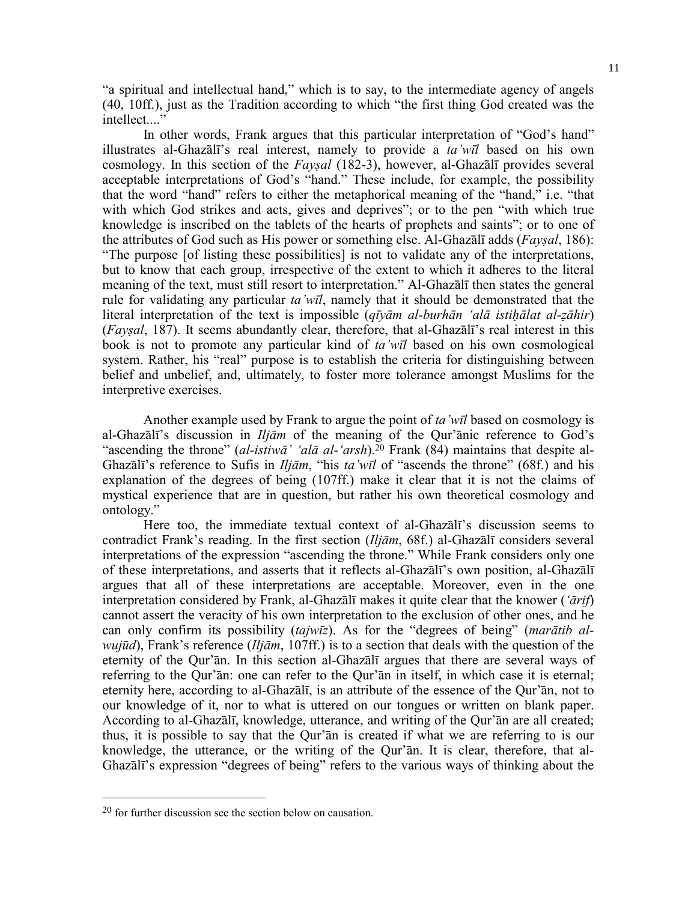"a spiritual and intellectual hand," which is to say, to the intermediate agency of angels (40, 10ff.), just as the Tradition according to which "the first thing God created was the intellect...."

 In other words, Frank argues that this particular interpretation of "God's hand" illustrates al-Ghazālī's real interest, namely to provide a *ta'wīl* based on his own cosmology. In this section of the *Fayṣal* (182-3), however, al-Ghazālī provides several acceptable interpretations of God's "hand." These include, for example, the possibility that the word "hand" refers to either the metaphorical meaning of the "hand," i.e. "that with which God strikes and acts, gives and deprives"; or to the pen "with which true knowledge is inscribed on the tablets of the hearts of prophets and saints"; or to one of the attributes of God such as His power or something else. Al-Ghazālī adds (*Fayṣal*, 186): "The purpose [of listing these possibilities] is not to validate any of the interpretations, but to know that each group, irrespective of the extent to which it adheres to the literal meaning of the text, must still resort to interpretation." Al-Ghazālī then states the general rule for validating any particular *ta'wīl*, namely that it should be demonstrated that the literal interpretation of the text is impossible (*qīyām al-burhān 'alā istiḥālat al-ẓāhir*) (*Fayṣal*, 187). It seems abundantly clear, therefore, that al-Ghazālī's real interest in this book is not to promote any particular kind of *ta'wīl* based on his own cosmological system. Rather, his "real" purpose is to establish the criteria for distinguishing between belief and unbelief, and, ultimately, to foster more tolerance amongst Muslims for the interpretive exercises.

 Another example used by Frank to argue the point of *ta'wīl* based on cosmology is al-Ghazālī's discussion in *Iljām* of the meaning of the Qur'ānic reference to God's "ascending the throne" (*al-istiwā' 'alā al-'arsh*).20 Frank (84) maintains that despite al-Ghazālī's reference to Sufis in *Iljām*, "his *ta'wīl* of "ascends the throne" (68f.) and his explanation of the degrees of being (107ff.) make it clear that it is not the claims of mystical experience that are in question, but rather his own theoretical cosmology and ontology."

 Here too, the immediate textual context of al-Ghazālī's discussion seems to contradict Frank's reading. In the first section (*Iljām*, 68f.) al-Ghazālī considers several interpretations of the expression "ascending the throne." While Frank considers only one of these interpretations, and asserts that it reflects al-Ghazālī's own position, al-Ghazālī argues that all of these interpretations are acceptable. Moreover, even in the one interpretation considered by Frank, al-Ghazālī makes it quite clear that the knower (*'ārif*) cannot assert the veracity of his own interpretation to the exclusion of other ones, and he can only confirm its possibility (*tajwīz*). As for the "degrees of being" (*marātib alwujūd*), Frank's reference (*Iljām*, 107ff.) is to a section that deals with the question of the eternity of the Qur'ān. In this section al-Ghazālī argues that there are several ways of referring to the Qur'ān: one can refer to the Qur'ān in itself, in which case it is eternal; eternity here, according to al-Ghazālī, is an attribute of the essence of the Qur'ān, not to our knowledge of it, nor to what is uttered on our tongues or written on blank paper. According to al-Ghazālī, knowledge, utterance, and writing of the Qur'ān are all created; thus, it is possible to say that the Qur'ān is created if what we are referring to is our knowledge, the utterance, or the writing of the Qur'ān. It is clear, therefore, that al-Ghazālī's expression "degrees of being" refers to the various ways of thinking about the

<sup>20</sup> for further discussion see the section below on causation.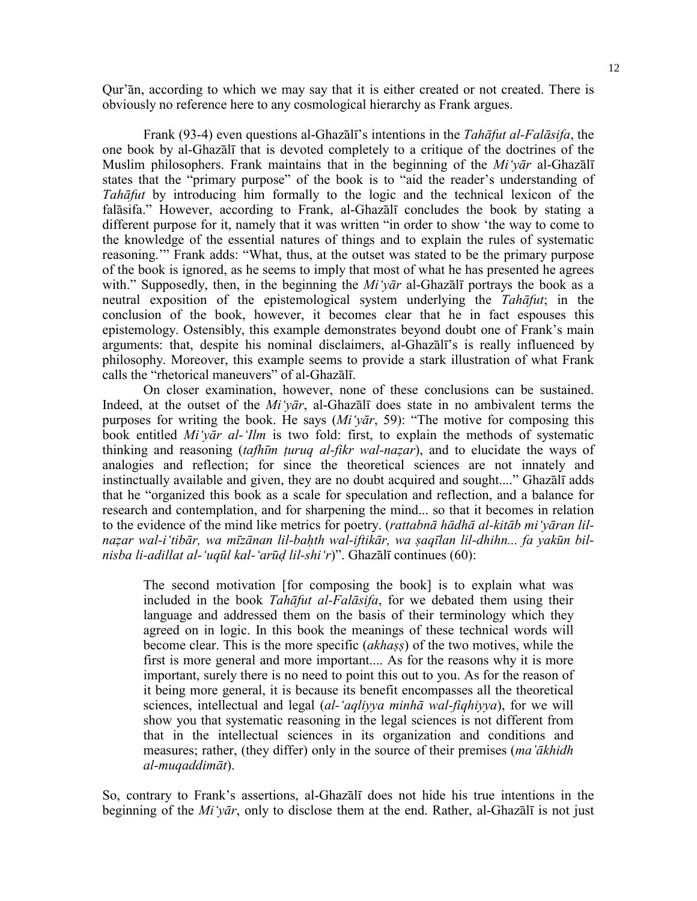Qur'ān, according to which we may say that it is either created or not created. There is obviously no reference here to any cosmological hierarchy as Frank argues.

 Frank (93-4) even questions al-Ghazālī's intentions in the *Tahāfut al-Falāsifa*, the one book by al-Ghazālī that is devoted completely to a critique of the doctrines of the Muslim philosophers. Frank maintains that in the beginning of the *Mi'yār* al-Ghazālī states that the "primary purpose" of the book is to "aid the reader's understanding of *Tahāfut* by introducing him formally to the logic and the technical lexicon of the falāsifa." However, according to Frank, al-Ghazālī concludes the book by stating a different purpose for it, namely that it was written "in order to show 'the way to come to the knowledge of the essential natures of things and to explain the rules of systematic reasoning.'" Frank adds: "What, thus, at the outset was stated to be the primary purpose of the book is ignored, as he seems to imply that most of what he has presented he agrees with." Supposedly, then, in the beginning the *Mi'yar* al-Ghazali portrays the book as a neutral exposition of the epistemological system underlying the *Tahāfut*; in the conclusion of the book, however, it becomes clear that he in fact espouses this epistemology. Ostensibly, this example demonstrates beyond doubt one of Frank's main arguments: that, despite his nominal disclaimers, al-Ghazālī's is really influenced by philosophy. Moreover, this example seems to provide a stark illustration of what Frank calls the "rhetorical maneuvers" of al-Ghazālī.

 On closer examination, however, none of these conclusions can be sustained. Indeed, at the outset of the *Mi'yār*, al-Ghazālī does state in no ambivalent terms the purposes for writing the book. He says (*Mi'yār*, 59): "The motive for composing this book entitled *Mi'yār al-'Ilm* is two fold: first, to explain the methods of systematic thinking and reasoning (*tafhīm ṭuruq al-fikr wal-naẓar*), and to elucidate the ways of analogies and reflection; for since the theoretical sciences are not innately and instinctually available and given, they are no doubt acquired and sought...." Ghazālī adds that he "organized this book as a scale for speculation and reflection, and a balance for research and contemplation, and for sharpening the mind... so that it becomes in relation to the evidence of the mind like metrics for poetry. (*rattabnā hādhā al-kitāb mi'yāran lilnaẓar wal-i'tibār, wa mīzānan lil-baḥth wal-iftikār, wa ṣaqīlan lil-dhihn... fa yakūn bilnisba li-adillat al-'uqūl kal-'arūḍ lil-shi'r*)". Ghazālī continues (60):

The second motivation [for composing the book] is to explain what was included in the book *Tahāfut al-Falāsifa*, for we debated them using their language and addressed them on the basis of their terminology which they agreed on in logic. In this book the meanings of these technical words will become clear. This is the more specific (*akhaṣṣ*) of the two motives, while the first is more general and more important.... As for the reasons why it is more important, surely there is no need to point this out to you. As for the reason of it being more general, it is because its benefit encompasses all the theoretical sciences, intellectual and legal (*al-'aqliyya minhā wal-fiqhiyya*), for we will show you that systematic reasoning in the legal sciences is not different from that in the intellectual sciences in its organization and conditions and measures; rather, (they differ) only in the source of their premises (*ma'ākhidh al-muqaddimāt*).

So, contrary to Frank's assertions, al-Ghazālī does not hide his true intentions in the beginning of the *Mi'yār*, only to disclose them at the end. Rather, al-Ghazālī is not just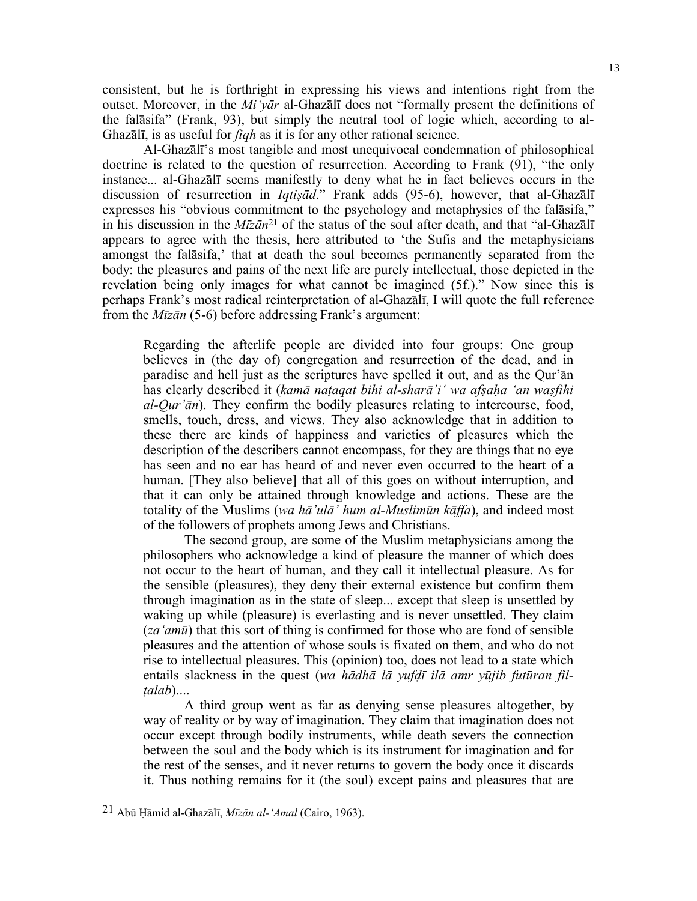consistent, but he is forthright in expressing his views and intentions right from the outset. Moreover, in the *Mi'yār* al-Ghazālī does not "formally present the definitions of the falāsifa" (Frank, 93), but simply the neutral tool of logic which, according to al-Ghazālī, is as useful for *fiqh* as it is for any other rational science.

 Al-Ghazālī's most tangible and most unequivocal condemnation of philosophical doctrine is related to the question of resurrection. According to Frank (91), "the only instance... al-Ghazālī seems manifestly to deny what he in fact believes occurs in the discussion of resurrection in *Iqtisād*." Frank adds (95-6), however, that al-Ghazālī expresses his "obvious commitment to the psychology and metaphysics of the falāsifa," in his discussion in the *Mīzān*21 of the status of the soul after death, and that "al-Ghazālī appears to agree with the thesis, here attributed to 'the Sufis and the metaphysicians amongst the falāsifa,' that at death the soul becomes permanently separated from the body: the pleasures and pains of the next life are purely intellectual, those depicted in the revelation being only images for what cannot be imagined (5f.)." Now since this is perhaps Frank's most radical reinterpretation of al-Ghazālī, I will quote the full reference from the *Mīzān* (5-6) before addressing Frank's argument:

Regarding the afterlife people are divided into four groups: One group believes in (the day of) congregation and resurrection of the dead, and in paradise and hell just as the scriptures have spelled it out, and as the Qur'ān has clearly described it (*kamā naṭaqat bihi al-sharā'i' wa afṣaḥa 'an waṣfihi al-Qur'ān*). They confirm the bodily pleasures relating to intercourse, food, smells, touch, dress, and views. They also acknowledge that in addition to these there are kinds of happiness and varieties of pleasures which the description of the describers cannot encompass, for they are things that no eye has seen and no ear has heard of and never even occurred to the heart of a human. [They also believe] that all of this goes on without interruption, and that it can only be attained through knowledge and actions. These are the totality of the Muslims (*wa hā'ulā' hum al-Muslimūn kāffa*), and indeed most of the followers of prophets among Jews and Christians.

 The second group, are some of the Muslim metaphysicians among the philosophers who acknowledge a kind of pleasure the manner of which does not occur to the heart of human, and they call it intellectual pleasure. As for the sensible (pleasures), they deny their external existence but confirm them through imagination as in the state of sleep... except that sleep is unsettled by waking up while (pleasure) is everlasting and is never unsettled. They claim (*za'amū*) that this sort of thing is confirmed for those who are fond of sensible pleasures and the attention of whose souls is fixated on them, and who do not rise to intellectual pleasures. This (opinion) too, does not lead to a state which entails slackness in the quest (*wa hādhā lā yufḍī ilā amr yūjib futūran filṭalab*)....

 A third group went as far as denying sense pleasures altogether, by way of reality or by way of imagination. They claim that imagination does not occur except through bodily instruments, while death severs the connection between the soul and the body which is its instrument for imagination and for the rest of the senses, and it never returns to govern the body once it discards it. Thus nothing remains for it (the soul) except pains and pleasures that are

<sup>21</sup> Abū Ḥāmid al-Ghazālī, *Mīzān al-'Amal* (Cairo, 1963).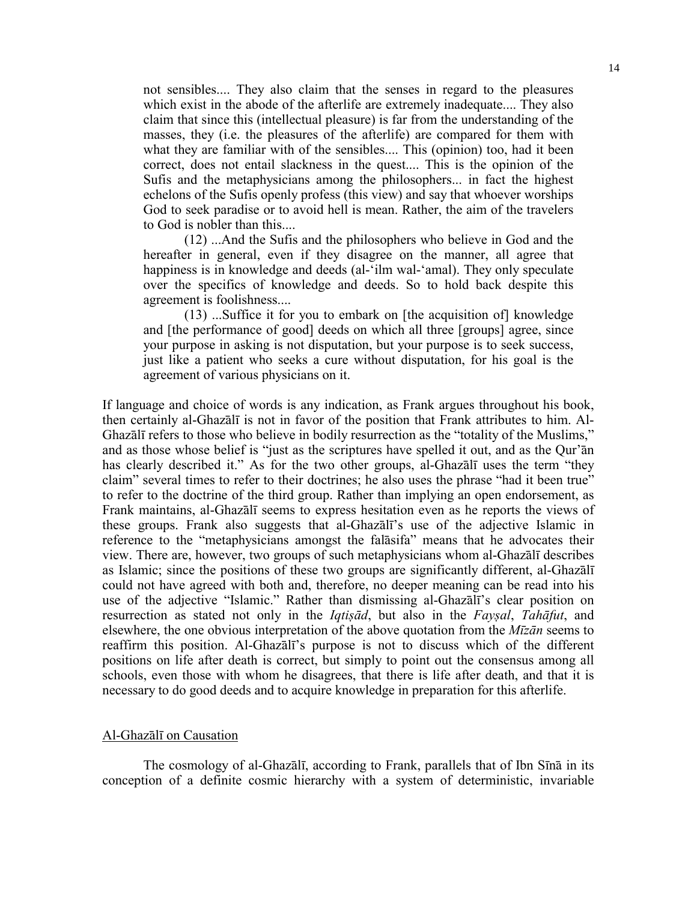not sensibles.... They also claim that the senses in regard to the pleasures which exist in the abode of the afterlife are extremely inadequate.... They also claim that since this (intellectual pleasure) is far from the understanding of the masses, they (i.e. the pleasures of the afterlife) are compared for them with what they are familiar with of the sensibles.... This (opinion) too, had it been correct, does not entail slackness in the quest.... This is the opinion of the Sufis and the metaphysicians among the philosophers... in fact the highest echelons of the Sufis openly profess (this view) and say that whoever worships God to seek paradise or to avoid hell is mean. Rather, the aim of the travelers to God is nobler than this....

 (12) ...And the Sufis and the philosophers who believe in God and the hereafter in general, even if they disagree on the manner, all agree that happiness is in knowledge and deeds (al-'ilm wal-'amal). They only speculate over the specifics of knowledge and deeds. So to hold back despite this agreement is foolishness....

 (13) ...Suffice it for you to embark on [the acquisition of] knowledge and [the performance of good] deeds on which all three [groups] agree, since your purpose in asking is not disputation, but your purpose is to seek success, just like a patient who seeks a cure without disputation, for his goal is the agreement of various physicians on it.

If language and choice of words is any indication, as Frank argues throughout his book, then certainly al-Ghazālī is not in favor of the position that Frank attributes to him. Al-Ghazālī refers to those who believe in bodily resurrection as the "totality of the Muslims," and as those whose belief is "just as the scriptures have spelled it out, and as the Qur'ān has clearly described it." As for the two other groups, al-Ghazālī uses the term "they claim" several times to refer to their doctrines; he also uses the phrase "had it been true" to refer to the doctrine of the third group. Rather than implying an open endorsement, as Frank maintains, al-Ghazālī seems to express hesitation even as he reports the views of these groups. Frank also suggests that al-Ghazālī's use of the adjective Islamic in reference to the "metaphysicians amongst the falāsifa" means that he advocates their view. There are, however, two groups of such metaphysicians whom al-Ghazālī describes as Islamic; since the positions of these two groups are significantly different, al-Ghazālī could not have agreed with both and, therefore, no deeper meaning can be read into his use of the adjective "Islamic." Rather than dismissing al-Ghazālī's clear position on resurrection as stated not only in the *Iqtiṣād*, but also in the *Fayṣal*, *Tahāfut*, and elsewhere, the one obvious interpretation of the above quotation from the *Mīzān* seems to reaffirm this position. Al-Ghazālī's purpose is not to discuss which of the different positions on life after death is correct, but simply to point out the consensus among all schools, even those with whom he disagrees, that there is life after death, and that it is necessary to do good deeds and to acquire knowledge in preparation for this afterlife.

#### Al-Ghazālī on Causation

 The cosmology of al-Ghazālī, according to Frank, parallels that of Ibn Sīnā in its conception of a definite cosmic hierarchy with a system of deterministic, invariable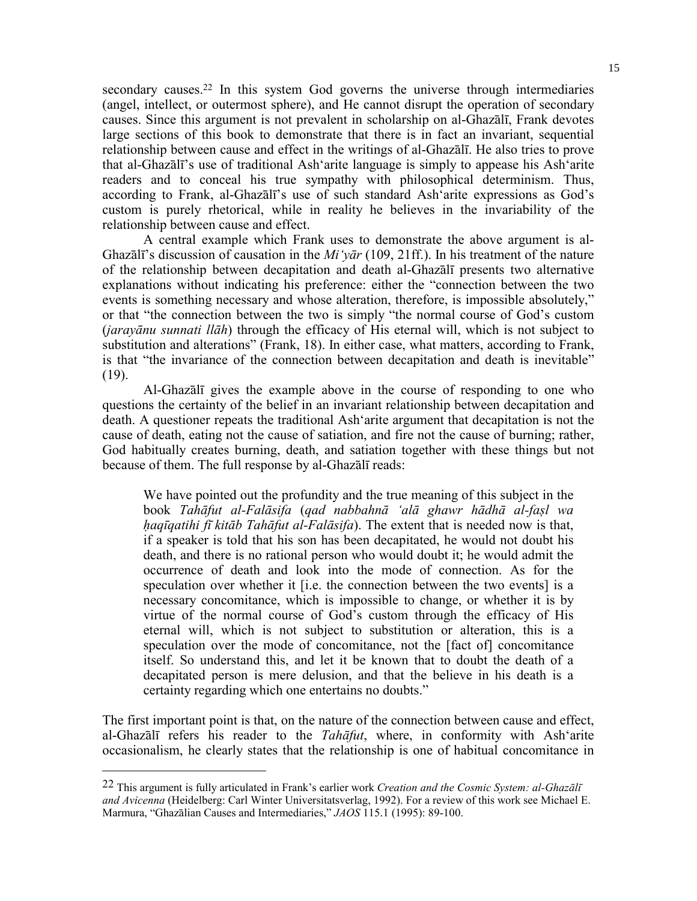secondary causes.<sup>22</sup> In this system God governs the universe through intermediaries (angel, intellect, or outermost sphere), and He cannot disrupt the operation of secondary causes. Since this argument is not prevalent in scholarship on al-Ghazālī, Frank devotes large sections of this book to demonstrate that there is in fact an invariant, sequential relationship between cause and effect in the writings of al-Ghazālī. He also tries to prove that al-Ghazālī's use of traditional Ash'arite language is simply to appease his Ash'arite readers and to conceal his true sympathy with philosophical determinism. Thus, according to Frank, al-Ghazālī's use of such standard Ash'arite expressions as God's custom is purely rhetorical, while in reality he believes in the invariability of the relationship between cause and effect.

 A central example which Frank uses to demonstrate the above argument is al-Ghazālī's discussion of causation in the *Mi'yār* (109, 21ff.). In his treatment of the nature of the relationship between decapitation and death al-Ghazālī presents two alternative explanations without indicating his preference: either the "connection between the two events is something necessary and whose alteration, therefore, is impossible absolutely," or that "the connection between the two is simply "the normal course of God's custom (*jarayānu sunnati llāh*) through the efficacy of His eternal will, which is not subject to substitution and alterations" (Frank, 18). In either case, what matters, according to Frank, is that "the invariance of the connection between decapitation and death is inevitable" (19).

 Al-Ghazālī gives the example above in the course of responding to one who questions the certainty of the belief in an invariant relationship between decapitation and death. A questioner repeats the traditional Ash'arite argument that decapitation is not the cause of death, eating not the cause of satiation, and fire not the cause of burning; rather, God habitually creates burning, death, and satiation together with these things but not because of them. The full response by al-Ghazālī reads:

We have pointed out the profundity and the true meaning of this subject in the book *Tahāfut al-Falāsifa* (*qad nabbahnā 'alā ghawr hādhā al-faṣl wa ḥaqīqatihi fī kitāb Tahāfut al-Falāsifa*). The extent that is needed now is that, if a speaker is told that his son has been decapitated, he would not doubt his death, and there is no rational person who would doubt it; he would admit the occurrence of death and look into the mode of connection. As for the speculation over whether it [i.e. the connection between the two events] is a necessary concomitance, which is impossible to change, or whether it is by virtue of the normal course of God's custom through the efficacy of His eternal will, which is not subject to substitution or alteration, this is a speculation over the mode of concomitance, not the [fact of] concomitance itself. So understand this, and let it be known that to doubt the death of a decapitated person is mere delusion, and that the believe in his death is a certainty regarding which one entertains no doubts."

The first important point is that, on the nature of the connection between cause and effect, al-Ghazālī refers his reader to the *Tahāfut*, where, in conformity with Ash'arite occasionalism, he clearly states that the relationship is one of habitual concomitance in

<sup>22</sup> This argument is fully articulated in Frank's earlier work *Creation and the Cosmic System: al-Ghazālī and Avicenna* (Heidelberg: Carl Winter Universitatsverlag, 1992). For a review of this work see Michael E. Marmura, "Ghazālian Causes and Intermediaries," *JAOS* 115.1 (1995): 89-100.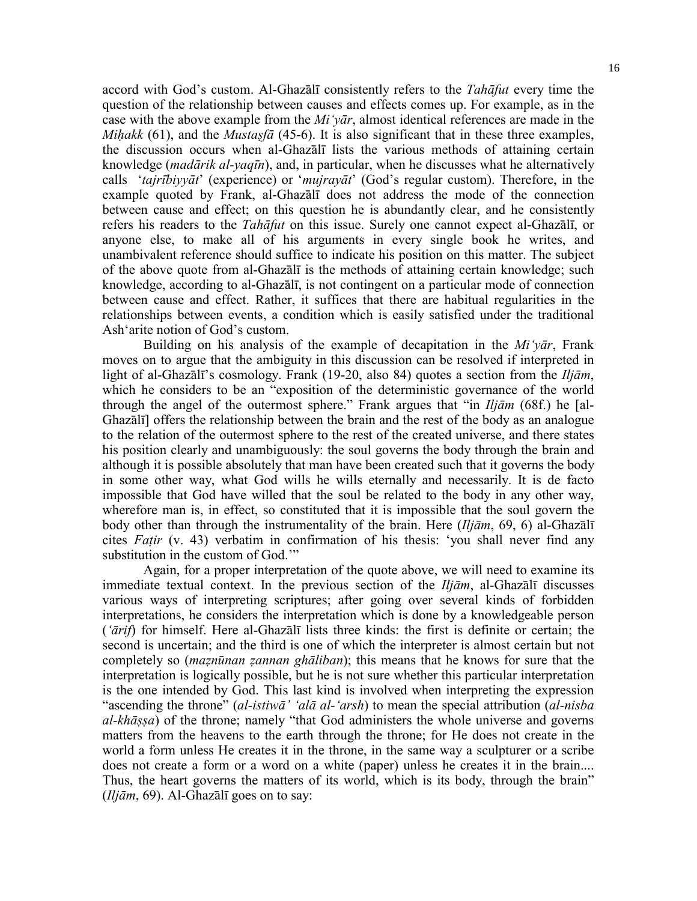accord with God's custom. Al-Ghazālī consistently refers to the *Tahāfut* every time the question of the relationship between causes and effects comes up. For example, as in the case with the above example from the *Mi'yār*, almost identical references are made in the *Miḥakk* (61), and the *Mustaṣfā* (45-6). It is also significant that in these three examples, the discussion occurs when al-Ghazālī lists the various methods of attaining certain knowledge (*madārik al-yaqīn*), and, in particular, when he discusses what he alternatively calls '*tajrībiyyāt*' (experience) or '*mujrayāt*' (God's regular custom). Therefore, in the example quoted by Frank, al-Ghazālī does not address the mode of the connection between cause and effect; on this question he is abundantly clear, and he consistently refers his readers to the *Tahāfut* on this issue. Surely one cannot expect al-Ghazālī, or anyone else, to make all of his arguments in every single book he writes, and unambivalent reference should suffice to indicate his position on this matter. The subject of the above quote from al-Ghazālī is the methods of attaining certain knowledge; such knowledge, according to al-Ghazālī, is not contingent on a particular mode of connection between cause and effect. Rather, it suffices that there are habitual regularities in the relationships between events, a condition which is easily satisfied under the traditional Ash'arite notion of God's custom.

 Building on his analysis of the example of decapitation in the *Mi'yār*, Frank moves on to argue that the ambiguity in this discussion can be resolved if interpreted in light of al-Ghazālī's cosmology. Frank (19-20, also 84) quotes a section from the *Iljām*, which he considers to be an "exposition of the deterministic governance of the world through the angel of the outermost sphere." Frank argues that "in *Iljām* (68f.) he [al-Ghazālī] offers the relationship between the brain and the rest of the body as an analogue to the relation of the outermost sphere to the rest of the created universe, and there states his position clearly and unambiguously: the soul governs the body through the brain and although it is possible absolutely that man have been created such that it governs the body in some other way, what God wills he wills eternally and necessarily. It is de facto impossible that God have willed that the soul be related to the body in any other way, wherefore man is, in effect, so constituted that it is impossible that the soul govern the body other than through the instrumentality of the brain. Here (*Iljām*, 69, 6) al-Ghazālī cites *Faṭir* (v. 43) verbatim in confirmation of his thesis: 'you shall never find any substitution in the custom of God."

 Again, for a proper interpretation of the quote above, we will need to examine its immediate textual context. In the previous section of the *Iljām*, al-Ghazālī discusses various ways of interpreting scriptures; after going over several kinds of forbidden interpretations, he considers the interpretation which is done by a knowledgeable person (*'ārif*) for himself. Here al-Ghazālī lists three kinds: the first is definite or certain; the second is uncertain; and the third is one of which the interpreter is almost certain but not completely so (*maẓnūnan ẓannan ghāliban*); this means that he knows for sure that the interpretation is logically possible, but he is not sure whether this particular interpretation is the one intended by God. This last kind is involved when interpreting the expression "ascending the throne" (*al-istiwā' 'alā al-'arsh*) to mean the special attribution (*al-nisba al-khāṣṣa*) of the throne; namely "that God administers the whole universe and governs matters from the heavens to the earth through the throne; for He does not create in the world a form unless He creates it in the throne, in the same way a sculpturer or a scribe does not create a form or a word on a white (paper) unless he creates it in the brain.... Thus, the heart governs the matters of its world, which is its body, through the brain" (*Iljām*, 69). Al-Ghazālī goes on to say: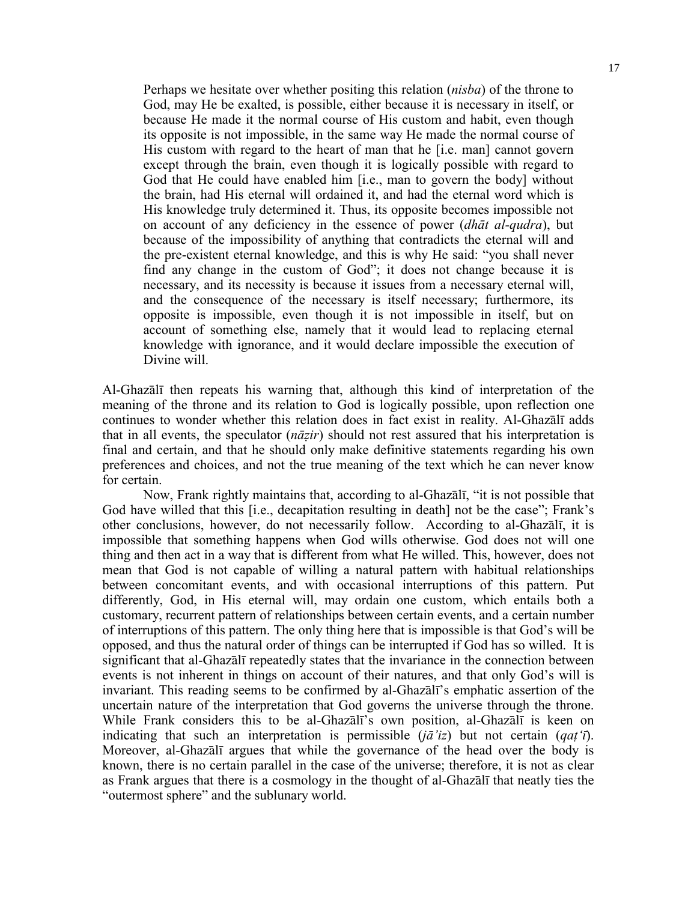Perhaps we hesitate over whether positing this relation (*nisba*) of the throne to God, may He be exalted, is possible, either because it is necessary in itself, or because He made it the normal course of His custom and habit, even though its opposite is not impossible, in the same way He made the normal course of His custom with regard to the heart of man that he [i.e. man] cannot govern except through the brain, even though it is logically possible with regard to God that He could have enabled him [i.e., man to govern the body] without the brain, had His eternal will ordained it, and had the eternal word which is His knowledge truly determined it. Thus, its opposite becomes impossible not on account of any deficiency in the essence of power (*dhāt al-qudra*), but because of the impossibility of anything that contradicts the eternal will and the pre-existent eternal knowledge, and this is why He said: "you shall never find any change in the custom of God"; it does not change because it is necessary, and its necessity is because it issues from a necessary eternal will, and the consequence of the necessary is itself necessary; furthermore, its opposite is impossible, even though it is not impossible in itself, but on account of something else, namely that it would lead to replacing eternal knowledge with ignorance, and it would declare impossible the execution of Divine will.

Al-Ghazālī then repeats his warning that, although this kind of interpretation of the meaning of the throne and its relation to God is logically possible, upon reflection one continues to wonder whether this relation does in fact exist in reality. Al-Ghazālī adds that in all events, the speculator (*nāẓir*) should not rest assured that his interpretation is final and certain, and that he should only make definitive statements regarding his own preferences and choices, and not the true meaning of the text which he can never know for certain.

 Now, Frank rightly maintains that, according to al-Ghazālī, "it is not possible that God have willed that this [i.e., decapitation resulting in death] not be the case"; Frank's other conclusions, however, do not necessarily follow. According to al-Ghazālī, it is impossible that something happens when God wills otherwise. God does not will one thing and then act in a way that is different from what He willed. This, however, does not mean that God is not capable of willing a natural pattern with habitual relationships between concomitant events, and with occasional interruptions of this pattern. Put differently, God, in His eternal will, may ordain one custom, which entails both a customary, recurrent pattern of relationships between certain events, and a certain number of interruptions of this pattern. The only thing here that is impossible is that God's will be opposed, and thus the natural order of things can be interrupted if God has so willed. It is significant that al-Ghazālī repeatedly states that the invariance in the connection between events is not inherent in things on account of their natures, and that only God's will is invariant. This reading seems to be confirmed by al-Ghazālī's emphatic assertion of the uncertain nature of the interpretation that God governs the universe through the throne. While Frank considers this to be al-Ghazālī's own position, al-Ghazālī is keen on indicating that such an interpretation is permissible (*jā'iz*) but not certain (*qaṭ'ī*). Moreover, al-Ghazālī argues that while the governance of the head over the body is known, there is no certain parallel in the case of the universe; therefore, it is not as clear as Frank argues that there is a cosmology in the thought of al-Ghazālī that neatly ties the "outermost sphere" and the sublunary world.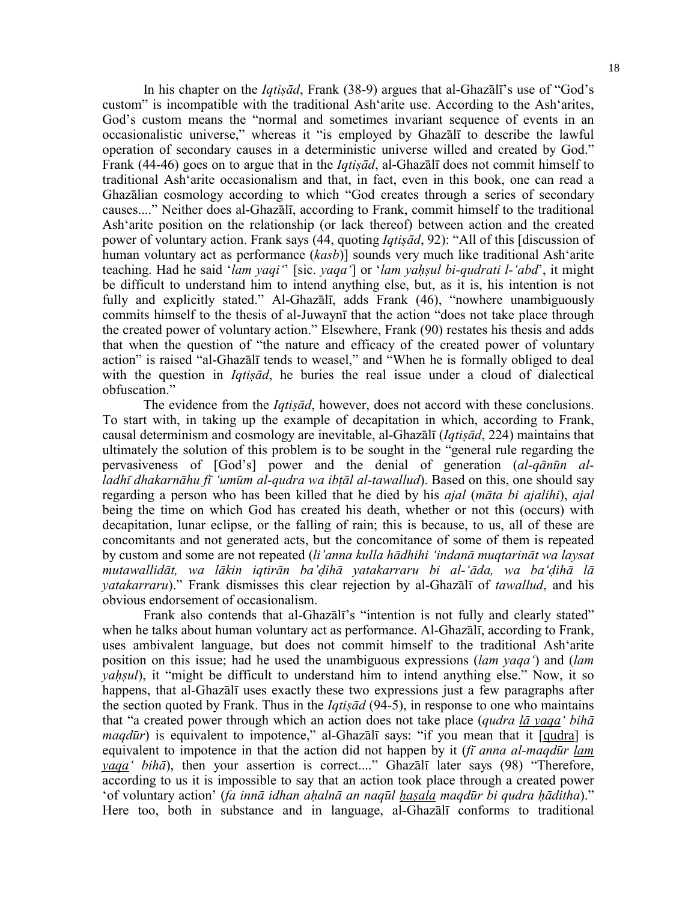18

 In his chapter on the *Iqtiṣād*, Frank (38-9) argues that al-Ghazālī's use of "God's custom" is incompatible with the traditional Ash'arite use. According to the Ash'arites, God's custom means the "normal and sometimes invariant sequence of events in an occasionalistic universe," whereas it "is employed by Ghazālī to describe the lawful operation of secondary causes in a deterministic universe willed and created by God." Frank (44-46) goes on to argue that in the *Iqtiṣād*, al-Ghazālī does not commit himself to traditional Ash'arite occasionalism and that, in fact, even in this book, one can read a Ghazālian cosmology according to which "God creates through a series of secondary causes...." Neither does al-Ghazālī, according to Frank, commit himself to the traditional Ash'arite position on the relationship (or lack thereof) between action and the created power of voluntary action. Frank says (44, quoting *Iqtiṣād*, 92): "All of this [discussion of human voluntary act as performance (*kasb*)] sounds very much like traditional Ash'arite teaching. Had he said '*lam yaqi'*' [sic. *yaqa'*] or '*lam yaḥṣul bi-qudrati l-'abd*', it might be difficult to understand him to intend anything else, but, as it is, his intention is not fully and explicitly stated." Al-Ghazālī, adds Frank (46), "nowhere unambiguously commits himself to the thesis of al-Juwaynī that the action "does not take place through the created power of voluntary action." Elsewhere, Frank (90) restates his thesis and adds that when the question of "the nature and efficacy of the created power of voluntary action" is raised "al-Ghazālī tends to weasel," and "When he is formally obliged to deal with the question in *Iqtiṣād*, he buries the real issue under a cloud of dialectical obfuscation."

 The evidence from the *Iqtiṣād*, however, does not accord with these conclusions. To start with, in taking up the example of decapitation in which, according to Frank, causal determinism and cosmology are inevitable, al-Ghazālī (*Iqtiṣād*, 224) maintains that ultimately the solution of this problem is to be sought in the "general rule regarding the pervasiveness of [God's] power and the denial of generation (*al-qānūn alladhī dhakarnāhu fī 'umūm al-qudra wa ibṭāl al-tawallud*). Based on this, one should say regarding a person who has been killed that he died by his *ajal* (*māta bi ajalihi*), *ajal* being the time on which God has created his death, whether or not this (occurs) with decapitation, lunar eclipse, or the falling of rain; this is because, to us, all of these are concomitants and not generated acts, but the concomitance of some of them is repeated by custom and some are not repeated (*li'anna kulla hādhihi 'indanā muqtarināt wa laysat mutawallidāt, wa lākin iqtirān ba'ḍihā yatakarraru bi al-'āda, wa ba'ḍihā lā yatakarraru*)." Frank dismisses this clear rejection by al-Ghazālī of *tawallud*, and his obvious endorsement of occasionalism.

 Frank also contends that al-Ghazālī's "intention is not fully and clearly stated" when he talks about human voluntary act as performance. Al-Ghazālī, according to Frank, uses ambivalent language, but does not commit himself to the traditional Ash'arite position on this issue; had he used the unambiguous expressions (*lam yaqa'*) and (*lam yahsul*), it "might be difficult to understand him to intend anything else." Now, it so happens, that al-Ghazālī uses exactly these two expressions just a few paragraphs after the section quoted by Frank. Thus in the *Iqtiṣād* (94-5), in response to one who maintains that "a created power through which an action does not take place (*qudra lā yaqa' bihā maqdūr*) is equivalent to impotence," al-Ghazālī says: "if you mean that it [qudra] is equivalent to impotence in that the action did not happen by it (*fī anna al-maqdūr lam yaqa' bihā*), then your assertion is correct...." Ghazālī later says (98) "Therefore, according to us it is impossible to say that an action took place through a created power 'of voluntary action' (*fa innā idhan aḥalnā an naqūl ḥaṣala maqdūr bi qudra ḥāditha*)." Here too, both in substance and in language, al-Ghazālī conforms to traditional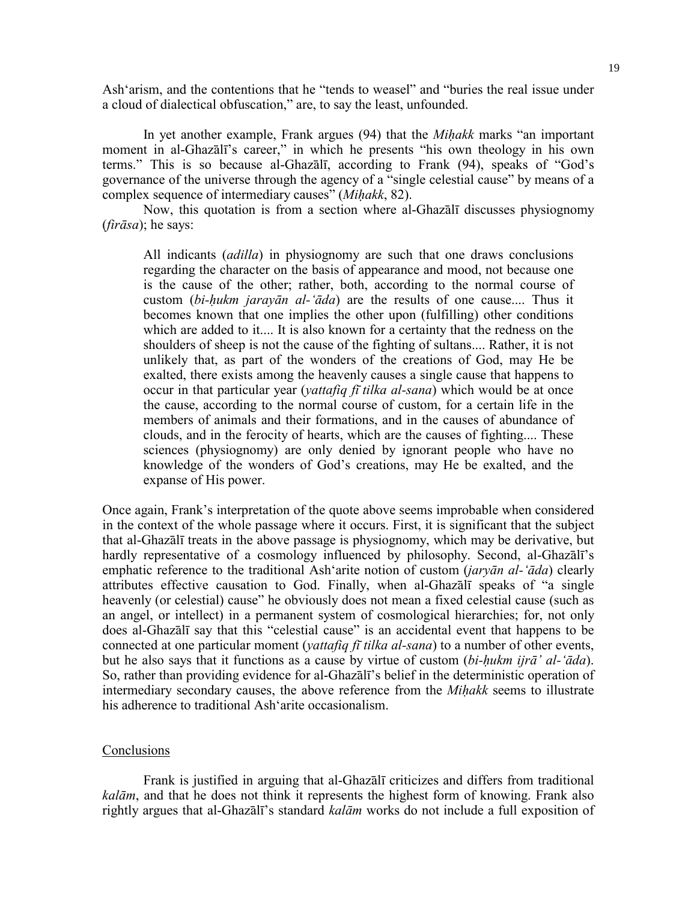Ash'arism, and the contentions that he "tends to weasel" and "buries the real issue under a cloud of dialectical obfuscation," are, to say the least, unfounded.

 In yet another example, Frank argues (94) that the *Miḥakk* marks "an important moment in al-Ghazālī's career," in which he presents "his own theology in his own terms." This is so because al-Ghazālī, according to Frank (94), speaks of "God's governance of the universe through the agency of a "single celestial cause" by means of a complex sequence of intermediary causes" (*Miḥakk*, 82).

 Now, this quotation is from a section where al-Ghazālī discusses physiognomy (*firāsa*); he says:

All indicants (*adilla*) in physiognomy are such that one draws conclusions regarding the character on the basis of appearance and mood, not because one is the cause of the other; rather, both, according to the normal course of custom (*bi-ḥukm jarayān al-'āda*) are the results of one cause.... Thus it becomes known that one implies the other upon (fulfilling) other conditions which are added to it.... It is also known for a certainty that the redness on the shoulders of sheep is not the cause of the fighting of sultans.... Rather, it is not unlikely that, as part of the wonders of the creations of God, may He be exalted, there exists among the heavenly causes a single cause that happens to occur in that particular year (*yattafiq fī tilka al-sana*) which would be at once the cause, according to the normal course of custom, for a certain life in the members of animals and their formations, and in the causes of abundance of clouds, and in the ferocity of hearts, which are the causes of fighting.... These sciences (physiognomy) are only denied by ignorant people who have no knowledge of the wonders of God's creations, may He be exalted, and the expanse of His power.

Once again, Frank's interpretation of the quote above seems improbable when considered in the context of the whole passage where it occurs. First, it is significant that the subject that al-Ghazālī treats in the above passage is physiognomy, which may be derivative, but hardly representative of a cosmology influenced by philosophy. Second, al-Ghazālī's emphatic reference to the traditional Ash'arite notion of custom (*jaryān al-'āda*) clearly attributes effective causation to God. Finally, when al-Ghazālī speaks of "a single heavenly (or celestial) cause" he obviously does not mean a fixed celestial cause (such as an angel, or intellect) in a permanent system of cosmological hierarchies; for, not only does al-Ghazālī say that this "celestial cause" is an accidental event that happens to be connected at one particular moment (*yattafiq fī tilka al-sana*) to a number of other events, but he also says that it functions as a cause by virtue of custom (*bi-ḥukm ijrā' al-'āda*). So, rather than providing evidence for al-Ghazālī's belief in the deterministic operation of intermediary secondary causes, the above reference from the *Miḥakk* seems to illustrate his adherence to traditional Ash'arite occasionalism.

## **Conclusions**

 Frank is justified in arguing that al-Ghazālī criticizes and differs from traditional *kalām*, and that he does not think it represents the highest form of knowing. Frank also rightly argues that al-Ghazālī's standard *kalām* works do not include a full exposition of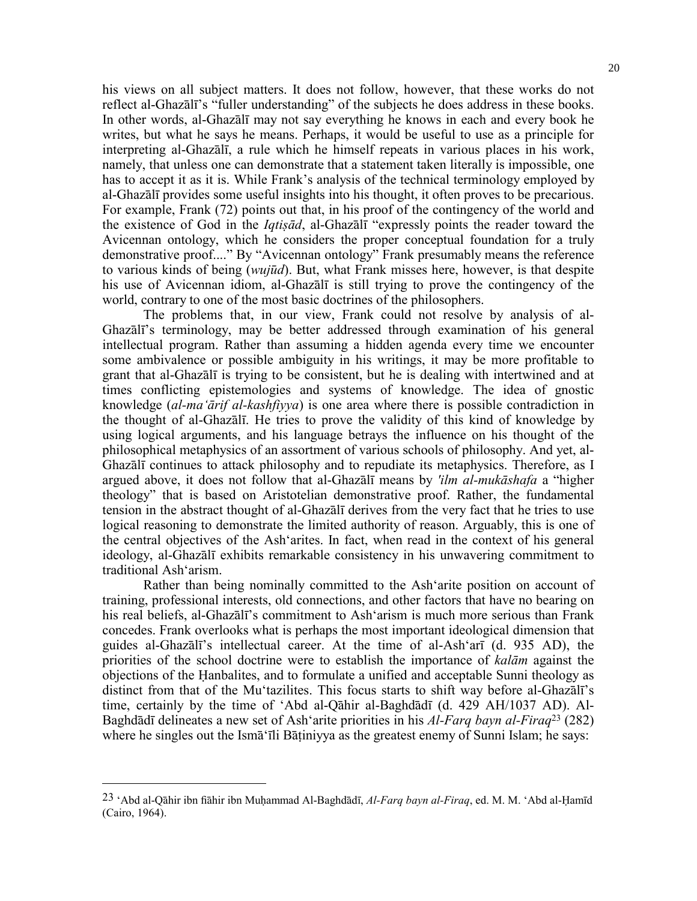his views on all subject matters. It does not follow, however, that these works do not reflect al-Ghazālī's "fuller understanding" of the subjects he does address in these books. In other words, al-Ghazālī may not say everything he knows in each and every book he writes, but what he says he means. Perhaps, it would be useful to use as a principle for interpreting al-Ghazālī, a rule which he himself repeats in various places in his work, namely, that unless one can demonstrate that a statement taken literally is impossible, one has to accept it as it is. While Frank's analysis of the technical terminology employed by al-Ghazālī provides some useful insights into his thought, it often proves to be precarious. For example, Frank (72) points out that, in his proof of the contingency of the world and the existence of God in the *Iqtiṣād*, al-Ghazālī "expressly points the reader toward the Avicennan ontology, which he considers the proper conceptual foundation for a truly demonstrative proof...." By "Avicennan ontology" Frank presumably means the reference to various kinds of being (*wujūd*). But, what Frank misses here, however, is that despite his use of Avicennan idiom, al-Ghazālī is still trying to prove the contingency of the world, contrary to one of the most basic doctrines of the philosophers.

 The problems that, in our view, Frank could not resolve by analysis of al-Ghazālī's terminology, may be better addressed through examination of his general intellectual program. Rather than assuming a hidden agenda every time we encounter some ambivalence or possible ambiguity in his writings, it may be more profitable to grant that al-Ghazālī is trying to be consistent, but he is dealing with intertwined and at times conflicting epistemologies and systems of knowledge. The idea of gnostic knowledge (*al-ma'ārif al-kashfiyya*) is one area where there is possible contradiction in the thought of al-Ghazālī. He tries to prove the validity of this kind of knowledge by using logical arguments, and his language betrays the influence on his thought of the philosophical metaphysics of an assortment of various schools of philosophy. And yet, al-Ghazālī continues to attack philosophy and to repudiate its metaphysics. Therefore, as I argued above, it does not follow that al-Ghazālī means by *'ilm al-mukāshafa* a "higher theology" that is based on Aristotelian demonstrative proof. Rather, the fundamental tension in the abstract thought of al-Ghazālī derives from the very fact that he tries to use logical reasoning to demonstrate the limited authority of reason. Arguably, this is one of the central objectives of the Ash'arites. In fact, when read in the context of his general ideology, al-Ghazālī exhibits remarkable consistency in his unwavering commitment to traditional Ash'arism.

 Rather than being nominally committed to the Ash'arite position on account of training, professional interests, old connections, and other factors that have no bearing on his real beliefs, al-Ghazālī's commitment to Ash'arism is much more serious than Frank concedes. Frank overlooks what is perhaps the most important ideological dimension that guides al-Ghazālī's intellectual career. At the time of al-Ash'arī (d. 935 AD), the priorities of the school doctrine were to establish the importance of *kalām* against the objections of the Ḥanbalites, and to formulate a unified and acceptable Sunni theology as distinct from that of the Mu'tazilites. This focus starts to shift way before al-Ghazālī's time, certainly by the time of 'Abd al-Qāhir al-Baghdādī (d. 429 AH/1037 AD). Al-Baghdādī delineates a new set of Ash'arite priorities in his *Al-Farq bayn al-Firaq*23 (282) where he singles out the Isma<sup>t</sup> ili Batiniyya as the greatest enemy of Sunni Islam; he says:

<sup>23 &#</sup>x27;Abd al-Qāhir ibn fiāhir ibn Muḥammad Al-Baghdādī, *Al-Farq bayn al-Firaq*, ed. M. M. 'Abd al-Ḥamīd (Cairo, 1964).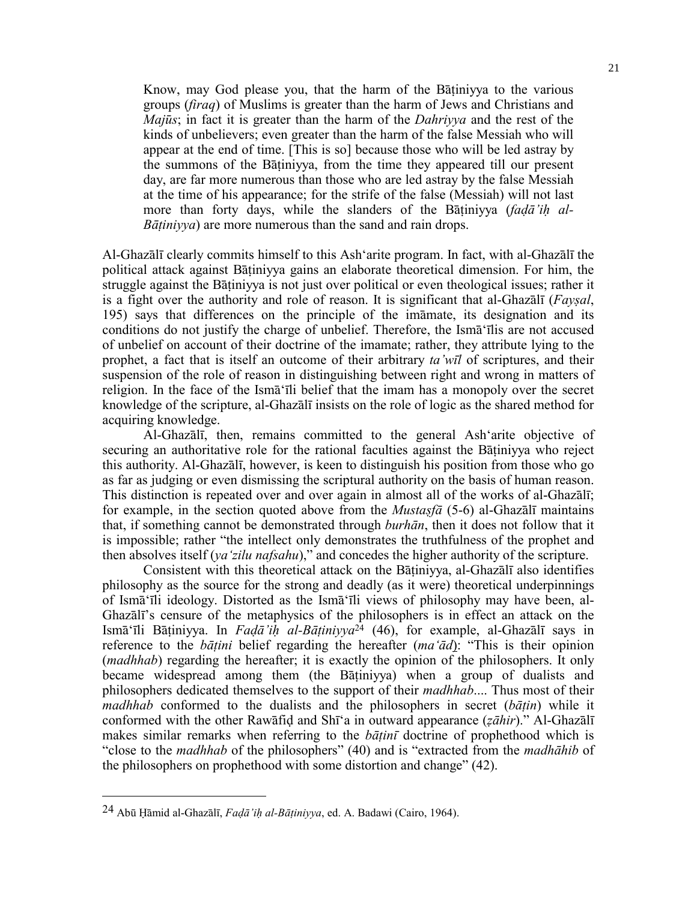Know, may God please you, that the harm of the Bāṭiniyya to the various groups (*firaq*) of Muslims is greater than the harm of Jews and Christians and *Majūs*; in fact it is greater than the harm of the *Dahriyya* and the rest of the kinds of unbelievers; even greater than the harm of the false Messiah who will appear at the end of time. [This is so] because those who will be led astray by the summons of the Bāṭiniyya, from the time they appeared till our present day, are far more numerous than those who are led astray by the false Messiah at the time of his appearance; for the strife of the false (Messiah) will not last more than forty days, while the slanders of the Bātiniyya (*fadā'ih al-Bāṭiniyya*) are more numerous than the sand and rain drops.

Al-Ghazālī clearly commits himself to this Ash'arite program. In fact, with al-Ghazālī the political attack against Bāṭiniyya gains an elaborate theoretical dimension. For him, the struggle against the Bāṭiniyya is not just over political or even theological issues; rather it is a fight over the authority and role of reason. It is significant that al-Ghazālī (*Fayṣal*, 195) says that differences on the principle of the imāmate, its designation and its conditions do not justify the charge of unbelief. Therefore, the Ismā'īlis are not accused of unbelief on account of their doctrine of the imamate; rather, they attribute lying to the prophet, a fact that is itself an outcome of their arbitrary *ta'wīl* of scriptures, and their suspension of the role of reason in distinguishing between right and wrong in matters of religion. In the face of the Ismā'īli belief that the imam has a monopoly over the secret knowledge of the scripture, al-Ghazālī insists on the role of logic as the shared method for acquiring knowledge.

 Al-Ghazālī, then, remains committed to the general Ash'arite objective of securing an authoritative role for the rational faculties against the Batiniyya who reject this authority. Al-Ghazālī, however, is keen to distinguish his position from those who go as far as judging or even dismissing the scriptural authority on the basis of human reason. This distinction is repeated over and over again in almost all of the works of al-Ghazālī; for example, in the section quoted above from the *Mustaṣfā* (5-6) al-Ghazālī maintains that, if something cannot be demonstrated through *burhān*, then it does not follow that it is impossible; rather "the intellect only demonstrates the truthfulness of the prophet and then absolves itself (*ya'zilu nafsahu*)," and concedes the higher authority of the scripture.

 Consistent with this theoretical attack on the Bāṭiniyya, al-Ghazālī also identifies philosophy as the source for the strong and deadly (as it were) theoretical underpinnings of Ismā'īli ideology. Distorted as the Ismā'īli views of philosophy may have been, al-Ghazālī's censure of the metaphysics of the philosophers is in effect an attack on the Ismā'īli Bāṭiniyya. In *Faḍā'iḥ al-Bāṭiniyya*24 (46), for example, al-Ghazālī says in reference to the *bāṭini* belief regarding the hereafter (*ma'ād*): "This is their opinion (*madhhab*) regarding the hereafter; it is exactly the opinion of the philosophers. It only became widespread among them (the Bāṭiniyya) when a group of dualists and philosophers dedicated themselves to the support of their *madhhab*.... Thus most of their *madhhab* conformed to the dualists and the philosophers in secret (*bāṭin*) while it conformed with the other Rawāfiḍ and Shī'a in outward appearance (*ẓāhir*)." Al-Ghazālī makes similar remarks when referring to the *bāṭinī* doctrine of prophethood which is "close to the *madhhab* of the philosophers" (40) and is "extracted from the *madhāhib* of the philosophers on prophethood with some distortion and change" (42).

<sup>24</sup> Abū Ḥāmid al-Ghazālī, *Faḍā'iḥ al-Bāṭiniyya*, ed. A. Badawi (Cairo, 1964).